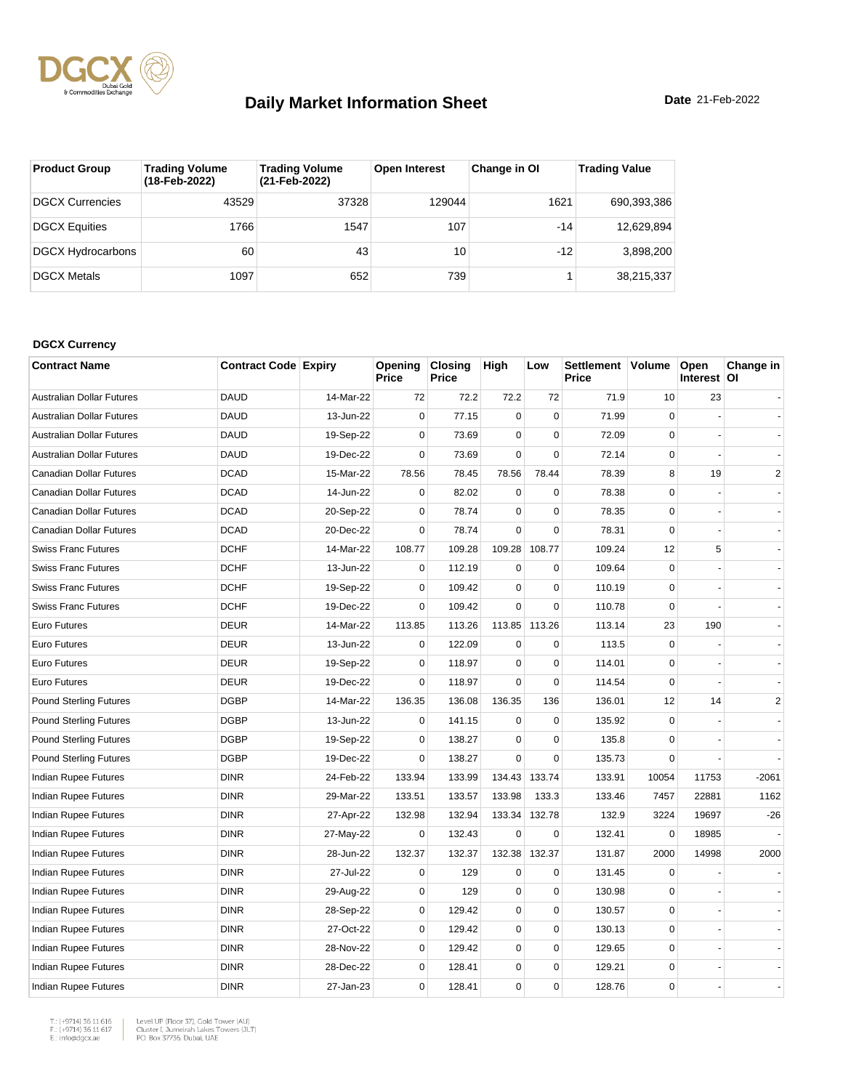

| <b>Product Group</b>     | <b>Trading Volume</b><br>(18-Feb-2022) | <b>Trading Volume</b><br>(21-Feb-2022) | <b>Open Interest</b> | Change in OI | <b>Trading Value</b> |
|--------------------------|----------------------------------------|----------------------------------------|----------------------|--------------|----------------------|
| DGCX Currencies          | 43529                                  | 37328                                  | 129044               | 1621         | 690,393,386          |
| <b>DGCX Equities</b>     | 1766                                   | 1547                                   | 107                  | $-14$        | 12,629,894           |
| <b>DGCX Hydrocarbons</b> | 60                                     | 43                                     | 10 <sup>1</sup>      | $-12$        | 3,898,200            |
| <b>DGCX Metals</b>       | 1097                                   | 652                                    | 739                  |              | 38,215,337           |

#### **DGCX Currency**

| <b>Contract Name</b>             | <b>Contract Code Expiry</b> |           | Opening<br><b>Price</b> | <b>Closing</b><br>Price | High        | Low         | Settlement Volume<br>Price |             | Open<br>Interest OI | Change in      |
|----------------------------------|-----------------------------|-----------|-------------------------|-------------------------|-------------|-------------|----------------------------|-------------|---------------------|----------------|
| <b>Australian Dollar Futures</b> | <b>DAUD</b>                 | 14-Mar-22 | 72                      | 72.2                    | 72.2        | 72          | 71.9                       | 10          | 23                  |                |
| Australian Dollar Futures        | <b>DAUD</b>                 | 13-Jun-22 | $\Omega$                | 77.15                   | $\mathbf 0$ | $\Omega$    | 71.99                      | $\Omega$    |                     |                |
| <b>Australian Dollar Futures</b> | <b>DAUD</b>                 | 19-Sep-22 | $\mathbf 0$             | 73.69                   | $\mathbf 0$ | $\mathbf 0$ | 72.09                      | $\mathbf 0$ |                     |                |
| <b>Australian Dollar Futures</b> | <b>DAUD</b>                 | 19-Dec-22 | $\mathbf 0$             | 73.69                   | $\mathbf 0$ | $\mathbf 0$ | 72.14                      | $\mathbf 0$ |                     |                |
| Canadian Dollar Futures          | <b>DCAD</b>                 | 15-Mar-22 | 78.56                   | 78.45                   | 78.56       | 78.44       | 78.39                      | 8           | 19                  | $\mathbf{2}$   |
| <b>Canadian Dollar Futures</b>   | <b>DCAD</b>                 | 14-Jun-22 | 0                       | 82.02                   | 0           | $\mathbf 0$ | 78.38                      | $\mathbf 0$ |                     | $\blacksquare$ |
| Canadian Dollar Futures          | <b>DCAD</b>                 | 20-Sep-22 | $\mathbf 0$             | 78.74                   | $\mathbf 0$ | $\mathbf 0$ | 78.35                      | $\mathbf 0$ |                     |                |
| Canadian Dollar Futures          | <b>DCAD</b>                 | 20-Dec-22 | $\mathbf 0$             | 78.74                   | $\mathbf 0$ | $\mathbf 0$ | 78.31                      | $\mathbf 0$ |                     |                |
| <b>Swiss Franc Futures</b>       | <b>DCHF</b>                 | 14-Mar-22 | 108.77                  | 109.28                  | 109.28      | 108.77      | 109.24                     | 12          | 5                   |                |
| <b>Swiss Franc Futures</b>       | <b>DCHF</b>                 | 13-Jun-22 | $\mathbf 0$             | 112.19                  | $\mathbf 0$ | $\mathbf 0$ | 109.64                     | $\mathbf 0$ |                     |                |
| <b>Swiss Franc Futures</b>       | <b>DCHF</b>                 | 19-Sep-22 | $\mathbf 0$             | 109.42                  | $\mathbf 0$ | $\mathbf 0$ | 110.19                     | $\mathbf 0$ |                     |                |
| <b>Swiss Franc Futures</b>       | <b>DCHF</b>                 | 19-Dec-22 | $\mathbf 0$             | 109.42                  | $\mathbf 0$ | $\mathbf 0$ | 110.78                     | $\mathbf 0$ |                     |                |
| Euro Futures                     | <b>DEUR</b>                 | 14-Mar-22 | 113.85                  | 113.26                  | 113.85      | 113.26      | 113.14                     | 23          | 190                 |                |
| <b>Euro Futures</b>              | <b>DEUR</b>                 | 13-Jun-22 | $\mathbf 0$             | 122.09                  | $\mathbf 0$ | $\mathbf 0$ | 113.5                      | $\Omega$    |                     |                |
| <b>Euro Futures</b>              | <b>DEUR</b>                 | 19-Sep-22 | $\mathbf 0$             | 118.97                  | $\mathbf 0$ | $\mathbf 0$ | 114.01                     | $\mathbf 0$ |                     |                |
| <b>Euro Futures</b>              | <b>DEUR</b>                 | 19-Dec-22 | $\mathbf 0$             | 118.97                  | $\mathbf 0$ | $\mathbf 0$ | 114.54                     | $\mathbf 0$ |                     |                |
| <b>Pound Sterling Futures</b>    | <b>DGBP</b>                 | 14-Mar-22 | 136.35                  | 136.08                  | 136.35      | 136         | 136.01                     | 12          | 14                  | $\overline{2}$ |
| <b>Pound Sterling Futures</b>    | <b>DGBP</b>                 | 13-Jun-22 | 0                       | 141.15                  | 0           | $\pmb{0}$   | 135.92                     | 0           |                     |                |
| <b>Pound Sterling Futures</b>    | <b>DGBP</b>                 | 19-Sep-22 | $\mathbf 0$             | 138.27                  | $\mathbf 0$ | $\mathbf 0$ | 135.8                      | $\Omega$    |                     |                |
| <b>Pound Sterling Futures</b>    | <b>DGBP</b>                 | 19-Dec-22 | $\mathbf 0$             | 138.27                  | $\mathbf 0$ | $\mathbf 0$ | 135.73                     | $\Omega$    |                     |                |
| Indian Rupee Futures             | <b>DINR</b>                 | 24-Feb-22 | 133.94                  | 133.99                  | 134.43      | 133.74      | 133.91                     | 10054       | 11753               | $-2061$        |
| Indian Rupee Futures             | <b>DINR</b>                 | 29-Mar-22 | 133.51                  | 133.57                  | 133.98      | 133.3       | 133.46                     | 7457        | 22881               | 1162           |
| Indian Rupee Futures             | <b>DINR</b>                 | 27-Apr-22 | 132.98                  | 132.94                  | 133.34      | 132.78      | 132.9                      | 3224        | 19697               | $-26$          |
| Indian Rupee Futures             | <b>DINR</b>                 | 27-May-22 | 0                       | 132.43                  | $\mathbf 0$ | $\mathbf 0$ | 132.41                     | $\mathbf 0$ | 18985               |                |
| Indian Rupee Futures             | <b>DINR</b>                 | 28-Jun-22 | 132.37                  | 132.37                  | 132.38      | 132.37      | 131.87                     | 2000        | 14998               | 2000           |
| <b>Indian Rupee Futures</b>      | <b>DINR</b>                 | 27-Jul-22 | $\mathbf 0$             | 129                     | $\mathbf 0$ | $\mathbf 0$ | 131.45                     | 0           |                     |                |
| Indian Rupee Futures             | <b>DINR</b>                 | 29-Aug-22 | $\mathbf 0$             | 129                     | $\mathbf 0$ | $\mathbf 0$ | 130.98                     | $\mathbf 0$ |                     |                |
| Indian Rupee Futures             | <b>DINR</b>                 | 28-Sep-22 | $\mathbf 0$             | 129.42                  | $\mathbf 0$ | $\mathbf 0$ | 130.57                     | $\Omega$    |                     |                |
| Indian Rupee Futures             | <b>DINR</b>                 | 27-Oct-22 | $\mathbf 0$             | 129.42                  | $\pmb{0}$   | $\pmb{0}$   | 130.13                     | $\mathbf 0$ |                     |                |
| Indian Rupee Futures             | <b>DINR</b>                 | 28-Nov-22 | $\mathbf 0$             | 129.42                  | $\mathbf 0$ | $\mathbf 0$ | 129.65                     | $\mathbf 0$ |                     |                |
| Indian Rupee Futures             | <b>DINR</b>                 | 28-Dec-22 | $\Omega$                | 128.41                  | $\mathbf 0$ | $\mathbf 0$ | 129.21                     | $\mathbf 0$ |                     |                |
| Indian Rupee Futures             | <b>DINR</b>                 | 27-Jan-23 | $\mathbf 0$             | 128.41                  | 0           | $\mathbf 0$ | 128.76                     | $\mathbf 0$ |                     |                |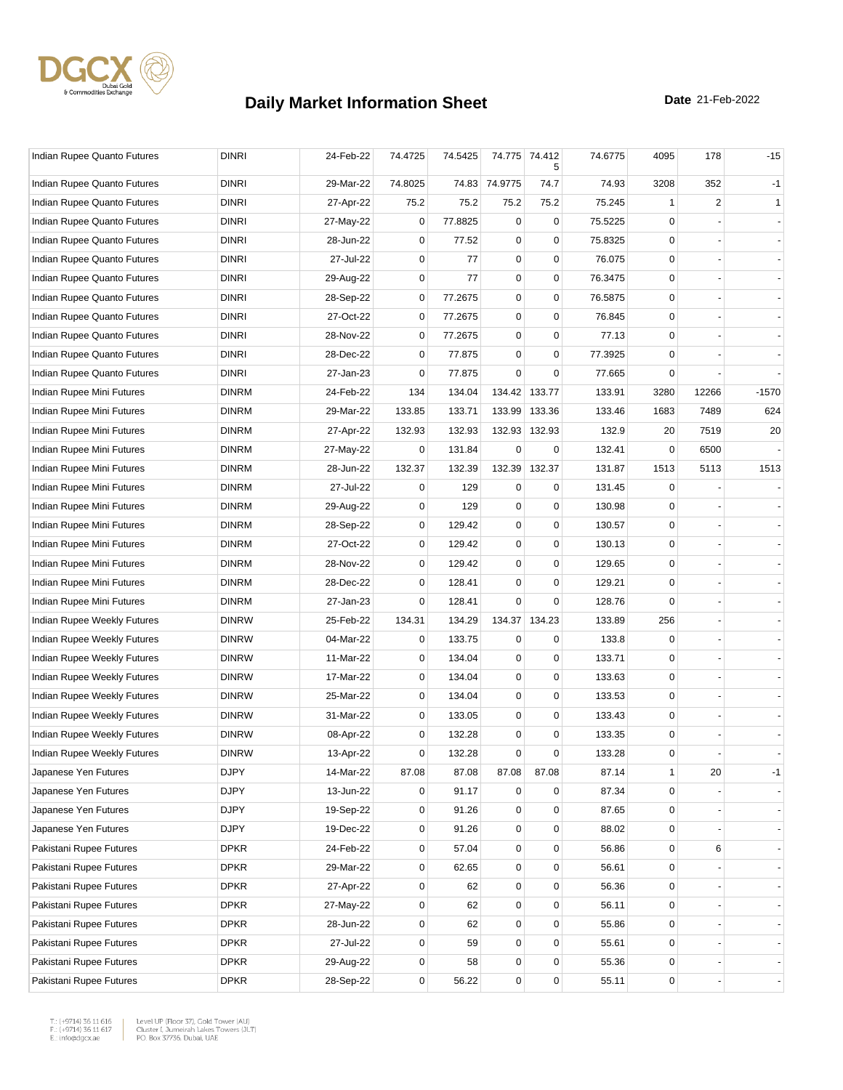

| Indian Rupee Quanto Futures | <b>DINRI</b> | 24-Feb-22 | 74.4725     | 74.5425 |               | 74.775 74.412<br>5 | 74.6775 | 4095        | 178            | $-15$   |
|-----------------------------|--------------|-----------|-------------|---------|---------------|--------------------|---------|-------------|----------------|---------|
| Indian Rupee Quanto Futures | <b>DINRI</b> | 29-Mar-22 | 74.8025     |         | 74.83 74.9775 | 74.7               | 74.93   | 3208        | 352            | $-1$    |
| Indian Rupee Quanto Futures | <b>DINRI</b> | 27-Apr-22 | 75.2        | 75.2    | 75.2          | 75.2               | 75.245  | 1           | $\overline{2}$ | 1       |
| Indian Rupee Quanto Futures | <b>DINRI</b> | 27-May-22 | 0           | 77.8825 | $\mathbf 0$   | 0                  | 75.5225 | $\Omega$    |                |         |
| Indian Rupee Quanto Futures | <b>DINRI</b> | 28-Jun-22 | 0           | 77.52   | $\mathbf 0$   | $\mathbf 0$        | 75.8325 | $\mathbf 0$ |                |         |
| Indian Rupee Quanto Futures | <b>DINRI</b> | 27-Jul-22 | 0           | 77      | 0             | 0                  | 76.075  | 0           |                |         |
| Indian Rupee Quanto Futures | <b>DINRI</b> | 29-Aug-22 | 0           | 77      | $\mathbf 0$   | 0                  | 76.3475 | $\mathbf 0$ |                |         |
| Indian Rupee Quanto Futures | <b>DINRI</b> | 28-Sep-22 | 0           | 77.2675 | $\pmb{0}$     | $\pmb{0}$          | 76.5875 | $\mathbf 0$ |                |         |
| Indian Rupee Quanto Futures | <b>DINRI</b> | 27-Oct-22 | 0           | 77.2675 | 0             | 0                  | 76.845  | 0           |                |         |
| Indian Rupee Quanto Futures | <b>DINRI</b> | 28-Nov-22 | $\mathbf 0$ | 77.2675 | $\mathbf 0$   | 0                  | 77.13   | $\mathbf 0$ |                |         |
| Indian Rupee Quanto Futures | <b>DINRI</b> | 28-Dec-22 | $\mathbf 0$ | 77.875  | $\mathbf 0$   | $\mathbf 0$        | 77.3925 | 0           |                |         |
| Indian Rupee Quanto Futures | <b>DINRI</b> | 27-Jan-23 | 0           | 77.875  | $\mathbf 0$   | 0                  | 77.665  | 0           |                |         |
| Indian Rupee Mini Futures   | <b>DINRM</b> | 24-Feb-22 | 134         | 134.04  | 134.42        | 133.77             | 133.91  | 3280        | 12266          | $-1570$ |
| Indian Rupee Mini Futures   | <b>DINRM</b> | 29-Mar-22 | 133.85      | 133.71  | 133.99        | 133.36             | 133.46  | 1683        | 7489           | 624     |
| Indian Rupee Mini Futures   | <b>DINRM</b> | 27-Apr-22 | 132.93      | 132.93  | 132.93        | 132.93             | 132.9   | 20          | 7519           | 20      |
| Indian Rupee Mini Futures   | <b>DINRM</b> | 27-May-22 | 0           | 131.84  | $\mathbf 0$   | 0                  | 132.41  | $\mathbf 0$ | 6500           |         |
| Indian Rupee Mini Futures   | <b>DINRM</b> | 28-Jun-22 | 132.37      | 132.39  | 132.39        | 132.37             | 131.87  | 1513        | 5113           | 1513    |
| Indian Rupee Mini Futures   | <b>DINRM</b> | 27-Jul-22 | 0           | 129     | 0             | 0                  | 131.45  | 0           |                |         |
| Indian Rupee Mini Futures   | <b>DINRM</b> | 29-Aug-22 | 0           | 129     | 0             | 0                  | 130.98  | 0           |                |         |
| Indian Rupee Mini Futures   | <b>DINRM</b> | 28-Sep-22 | 0           | 129.42  | $\mathbf 0$   | 0                  | 130.57  | $\mathbf 0$ |                |         |
| Indian Rupee Mini Futures   | <b>DINRM</b> | 27-Oct-22 | $\mathbf 0$ | 129.42  | $\mathbf 0$   | $\mathbf 0$        | 130.13  | 0           |                |         |
| Indian Rupee Mini Futures   | <b>DINRM</b> | 28-Nov-22 | $\mathbf 0$ | 129.42  | $\mathbf 0$   | $\mathbf 0$        | 129.65  | 0           |                |         |
| Indian Rupee Mini Futures   | <b>DINRM</b> | 28-Dec-22 | $\mathbf 0$ | 128.41  | $\pmb{0}$     | 0                  | 129.21  | $\mathbf 0$ |                |         |
| Indian Rupee Mini Futures   | <b>DINRM</b> | 27-Jan-23 | 0           | 128.41  | $\mathbf 0$   | 0                  | 128.76  | $\Omega$    |                |         |
| Indian Rupee Weekly Futures | <b>DINRW</b> | 25-Feb-22 | 134.31      | 134.29  | 134.37        | 134.23             | 133.89  | 256         |                |         |
| Indian Rupee Weekly Futures | <b>DINRW</b> | 04-Mar-22 | 0           | 133.75  | 0             | 0                  | 133.8   | 0           |                |         |
| Indian Rupee Weekly Futures | <b>DINRW</b> | 11-Mar-22 | $\mathbf 0$ | 134.04  | $\mathbf 0$   | 0                  | 133.71  | $\mathbf 0$ |                |         |
| Indian Rupee Weekly Futures | <b>DINRW</b> | 17-Mar-22 | $\mathbf 0$ | 134.04  | $\mathbf 0$   | $\mathbf 0$        | 133.63  | $\mathbf 0$ |                |         |
| Indian Rupee Weekly Futures | <b>DINRW</b> | 25-Mar-22 | 0           | 134.04  | 0             | 0                  | 133.53  | 0           |                |         |
| Indian Rupee Weekly Futures | <b>DINRW</b> | 31-Mar-22 | $\mathbf 0$ | 133.05  | $\mathbf 0$   | 0                  | 133.43  | $\mathbf 0$ |                |         |
| Indian Rupee Weekly Futures | <b>DINRW</b> | 08-Apr-22 | $\mathbf 0$ | 132.28  | $\mathbf 0$   | $\mathbf 0$        | 133.35  | 0           |                |         |
| Indian Rupee Weekly Futures | <b>DINRW</b> | 13-Apr-22 | 0           | 132.28  | $\mathbf 0$   | $\mathbf 0$        | 133.28  | $\mathbf 0$ |                |         |
| Japanese Yen Futures        | <b>DJPY</b>  | 14-Mar-22 | 87.08       | 87.08   | 87.08         | 87.08              | 87.14   | 1           | 20             | $-1$    |
| Japanese Yen Futures        | <b>DJPY</b>  | 13-Jun-22 | 0           | 91.17   | 0             | $\mathbf 0$        | 87.34   | $\mathbf 0$ |                |         |
| Japanese Yen Futures        | <b>DJPY</b>  | 19-Sep-22 | 0           | 91.26   | $\mathbf 0$   | $\pmb{0}$          | 87.65   | $\mathbf 0$ |                |         |
| Japanese Yen Futures        | <b>DJPY</b>  | 19-Dec-22 | 0           | 91.26   | 0             | $\mathbf 0$        | 88.02   | 0           |                |         |
| Pakistani Rupee Futures     | <b>DPKR</b>  | 24-Feb-22 | $\mathbf 0$ | 57.04   | 0             | $\mathbf 0$        | 56.86   | $\mathbf 0$ | 6              |         |
| Pakistani Rupee Futures     | <b>DPKR</b>  | 29-Mar-22 | $\mathbf 0$ | 62.65   | $\mathbf 0$   | $\mathbf 0$        | 56.61   | $\mathbf 0$ |                |         |
| Pakistani Rupee Futures     | <b>DPKR</b>  | 27-Apr-22 | 0           | 62      | $\pmb{0}$     | $\mathbf 0$        | 56.36   | 0           |                | ٠,      |
| Pakistani Rupee Futures     | <b>DPKR</b>  | 27-May-22 | 0           | 62      | $\mathbf 0$   | $\pmb{0}$          | 56.11   | $\mathbf 0$ |                |         |
| Pakistani Rupee Futures     | <b>DPKR</b>  | 28-Jun-22 | $\mathbf 0$ | 62      | 0             | 0                  | 55.86   | 0           |                |         |
| Pakistani Rupee Futures     | <b>DPKR</b>  | 27-Jul-22 | 0           | 59      | $\mathbf 0$   | $\mathbf 0$        | 55.61   | 0           |                |         |
| Pakistani Rupee Futures     | <b>DPKR</b>  | 29-Aug-22 | 0           | 58      | 0             | $\mathbf 0$        | 55.36   | $\mathbf 0$ |                |         |
| Pakistani Rupee Futures     | <b>DPKR</b>  | 28-Sep-22 | 0           | 56.22   | $\pmb{0}$     | $\pmb{0}$          | 55.11   | $\pmb{0}$   |                |         |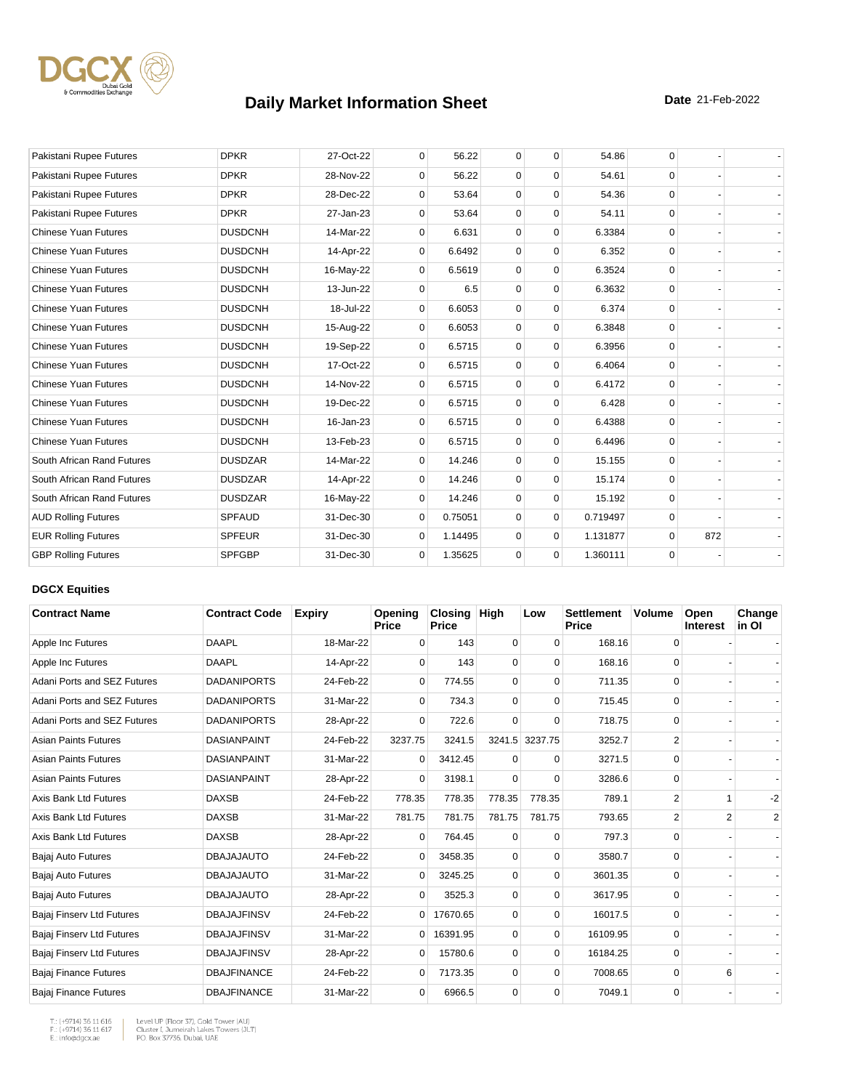

| Pakistani Rupee Futures     | <b>DPKR</b>    | 27-Oct-22 | $\mathbf 0$ | 56.22   | $\mathbf 0$ | 0           | 54.86    | $\mathbf 0$ |     |  |
|-----------------------------|----------------|-----------|-------------|---------|-------------|-------------|----------|-------------|-----|--|
| Pakistani Rupee Futures     | <b>DPKR</b>    | 28-Nov-22 | $\Omega$    | 56.22   | 0           | $\Omega$    | 54.61    | $\Omega$    |     |  |
| Pakistani Rupee Futures     | <b>DPKR</b>    | 28-Dec-22 | 0           | 53.64   | $\mathbf 0$ | 0           | 54.36    | $\Omega$    |     |  |
| Pakistani Rupee Futures     | <b>DPKR</b>    | 27-Jan-23 | $\Omega$    | 53.64   | $\mathbf 0$ | $\mathbf 0$ | 54.11    | $\Omega$    |     |  |
| <b>Chinese Yuan Futures</b> | <b>DUSDCNH</b> | 14-Mar-22 | $\Omega$    | 6.631   | $\mathbf 0$ | $\mathbf 0$ | 6.3384   | $\Omega$    |     |  |
| <b>Chinese Yuan Futures</b> | <b>DUSDCNH</b> | 14-Apr-22 | $\mathbf 0$ | 6.6492  | $\mathbf 0$ | $\Omega$    | 6.352    | $\Omega$    |     |  |
| <b>Chinese Yuan Futures</b> | <b>DUSDCNH</b> | 16-May-22 | 0           | 6.5619  | $\mathbf 0$ | $\mathbf 0$ | 6.3524   | $\Omega$    |     |  |
| <b>Chinese Yuan Futures</b> | <b>DUSDCNH</b> | 13-Jun-22 | $\Omega$    | 6.5     | $\Omega$    | $\mathbf 0$ | 6.3632   | $\Omega$    |     |  |
| <b>Chinese Yuan Futures</b> | <b>DUSDCNH</b> | 18-Jul-22 | $\Omega$    | 6.6053  | $\Omega$    | $\Omega$    | 6.374    | $\Omega$    |     |  |
| <b>Chinese Yuan Futures</b> | <b>DUSDCNH</b> | 15-Aug-22 | $\mathbf 0$ | 6.6053  | $\mathbf 0$ | $\mathbf 0$ | 6.3848   | $\Omega$    |     |  |
| <b>Chinese Yuan Futures</b> | <b>DUSDCNH</b> | 19-Sep-22 | $\mathbf 0$ | 6.5715  | $\mathbf 0$ | 0           | 6.3956   | $\Omega$    |     |  |
| <b>Chinese Yuan Futures</b> | <b>DUSDCNH</b> | 17-Oct-22 | 0           | 6.5715  | $\mathbf 0$ | $\mathbf 0$ | 6.4064   | $\Omega$    |     |  |
| <b>Chinese Yuan Futures</b> | <b>DUSDCNH</b> | 14-Nov-22 | $\mathbf 0$ | 6.5715  | $\mathbf 0$ | $\mathbf 0$ | 6.4172   | $\Omega$    |     |  |
| <b>Chinese Yuan Futures</b> | <b>DUSDCNH</b> | 19-Dec-22 | 0           | 6.5715  | $\mathbf 0$ | 0           | 6.428    | $\Omega$    |     |  |
| <b>Chinese Yuan Futures</b> | <b>DUSDCNH</b> | 16-Jan-23 | 0           | 6.5715  | $\mathbf 0$ | 0           | 6.4388   | $\Omega$    |     |  |
| <b>Chinese Yuan Futures</b> | <b>DUSDCNH</b> | 13-Feb-23 | $\Omega$    | 6.5715  | $\mathbf 0$ | $\Omega$    | 6.4496   | $\Omega$    |     |  |
| South African Rand Futures  | <b>DUSDZAR</b> | 14-Mar-22 | 0           | 14.246  | $\mathbf 0$ | $\mathbf 0$ | 15.155   | $\Omega$    |     |  |
| South African Rand Futures  | <b>DUSDZAR</b> | 14-Apr-22 | $\mathbf 0$ | 14.246  | $\mathbf 0$ | $\mathbf 0$ | 15.174   | $\Omega$    |     |  |
| South African Rand Futures  | <b>DUSDZAR</b> | 16-May-22 | $\Omega$    | 14.246  | $\Omega$    | $\Omega$    | 15.192   | $\Omega$    |     |  |
| <b>AUD Rolling Futures</b>  | <b>SPFAUD</b>  | 31-Dec-30 | $\mathbf 0$ | 0.75051 | $\mathbf 0$ | $\mathbf 0$ | 0.719497 | $\Omega$    |     |  |
| <b>EUR Rolling Futures</b>  | <b>SPFEUR</b>  | 31-Dec-30 | 0           | 1.14495 | $\mathbf 0$ | $\mathbf 0$ | 1.131877 | $\mathbf 0$ | 872 |  |
| <b>GBP Rolling Futures</b>  | <b>SPFGBP</b>  | 31-Dec-30 | 0           | 1.35625 | $\mathbf 0$ | 0           | 1.360111 | $\mathbf 0$ |     |  |

#### **DGCX Equities**

| <b>Contract Name</b>         | <b>Contract Code</b> | <b>Expiry</b> | Opening<br><b>Price</b> | <b>Closing</b><br><b>Price</b> | <b>High</b> | Low            | <b>Settlement</b><br><b>Price</b> | Volume         | Open<br><b>Interest</b> | Change<br>in OI |
|------------------------------|----------------------|---------------|-------------------------|--------------------------------|-------------|----------------|-----------------------------------|----------------|-------------------------|-----------------|
| Apple Inc Futures            | DAAPL                | 18-Mar-22     | $\Omega$                | 143                            | 0           | $\Omega$       | 168.16                            | $\Omega$       |                         |                 |
| Apple Inc Futures            | <b>DAAPL</b>         | 14-Apr-22     | $\Omega$                | 143                            | $\Omega$    | $\Omega$       | 168.16                            | $\Omega$       |                         |                 |
| Adani Ports and SEZ Futures  | <b>DADANIPORTS</b>   | 24-Feb-22     | $\overline{0}$          | 774.55                         | $\mathbf 0$ | 0              | 711.35                            | 0              |                         |                 |
| Adani Ports and SEZ Futures  | <b>DADANIPORTS</b>   | 31-Mar-22     | $\Omega$                | 734.3                          | 0           | $\Omega$       | 715.45                            | 0              |                         |                 |
| Adani Ports and SEZ Futures  | <b>DADANIPORTS</b>   | 28-Apr-22     | $\Omega$                | 722.6                          | $\Omega$    | $\Omega$       | 718.75                            | 0              |                         |                 |
| <b>Asian Paints Futures</b>  | <b>DASIANPAINT</b>   | 24-Feb-22     | 3237.75                 | 3241.5                         |             | 3241.5 3237.75 | 3252.7                            | $\overline{2}$ |                         |                 |
| <b>Asian Paints Futures</b>  | <b>DASIANPAINT</b>   | 31-Mar-22     | $\Omega$                | 3412.45                        | $\Omega$    | $\Omega$       | 3271.5                            | 0              |                         |                 |
| <b>Asian Paints Futures</b>  | <b>DASIANPAINT</b>   | 28-Apr-22     | $\mathbf 0$             | 3198.1                         | $\Omega$    | $\Omega$       | 3286.6                            | 0              |                         |                 |
| Axis Bank Ltd Futures        | <b>DAXSB</b>         | 24-Feb-22     | 778.35                  | 778.35                         | 778.35      | 778.35         | 789.1                             | $\overline{2}$ | 1                       | $-2$            |
| Axis Bank Ltd Futures        | <b>DAXSB</b>         | 31-Mar-22     | 781.75                  | 781.75                         | 781.75      | 781.75         | 793.65                            | 2              | 2                       | $\overline{2}$  |
| Axis Bank Ltd Futures        | <b>DAXSB</b>         | 28-Apr-22     | $\Omega$                | 764.45                         | $\Omega$    | $\Omega$       | 797.3                             | 0              |                         |                 |
| Bajaj Auto Futures           | <b>DBAJAJAUTO</b>    | 24-Feb-22     | 0                       | 3458.35                        | 0           | 0              | 3580.7                            | $\mathbf 0$    |                         |                 |
| Bajaj Auto Futures           | <b>DBAJAJAUTO</b>    | 31-Mar-22     | 0                       | 3245.25                        | 0           | $\Omega$       | 3601.35                           | 0              |                         |                 |
| Bajaj Auto Futures           | <b>DBAJAJAUTO</b>    | 28-Apr-22     | $\Omega$                | 3525.3                         | $\mathbf 0$ | $\Omega$       | 3617.95                           | 0              |                         |                 |
| Bajaj Finserv Ltd Futures    | <b>DBAJAJFINSV</b>   | 24-Feb-22     | $\Omega$                | 17670.65                       | 0           | $\Omega$       | 16017.5                           | 0              |                         |                 |
| Bajaj Finserv Ltd Futures    | <b>DBAJAJFINSV</b>   | 31-Mar-22     | $\overline{0}$          | 16391.95                       | 0           | $\Omega$       | 16109.95                          | 0              |                         |                 |
| Bajaj Finserv Ltd Futures    | <b>DBAJAJFINSV</b>   | 28-Apr-22     | $\overline{0}$          | 15780.6                        | 0           | $\Omega$       | 16184.25                          | 0              |                         |                 |
| Bajaj Finance Futures        | <b>DBAJFINANCE</b>   | 24-Feb-22     | $\Omega$                | 7173.35                        | 0           | $\Omega$       | 7008.65                           | $\Omega$       | 6                       |                 |
| <b>Bajaj Finance Futures</b> | <b>DBAJFINANCE</b>   | 31-Mar-22     | $\mathbf 0$             | 6966.5                         | $\mathbf 0$ | $\Omega$       | 7049.1                            | 0              |                         |                 |

T.: (+9714) 36 11 616<br>F.: (+9714) 36 11 617<br>E.: info@dgcx.ae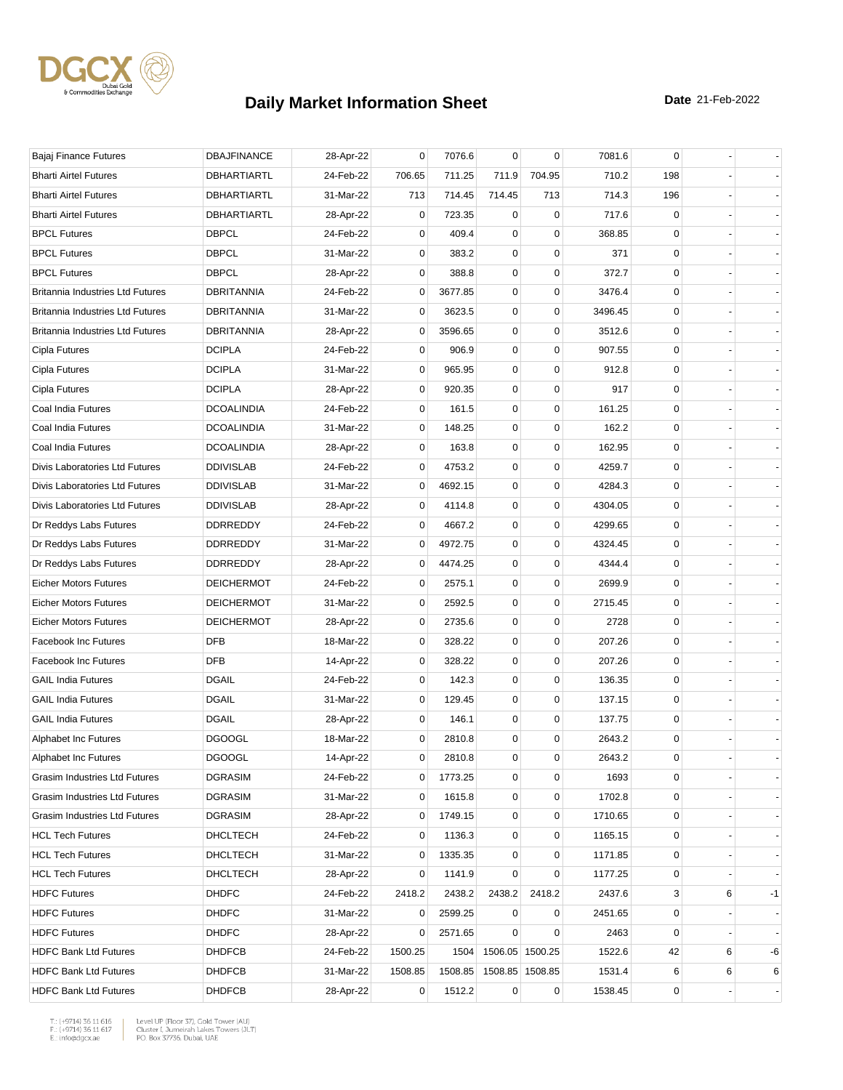

| Bajaj Finance Futures                   | <b>DBAJFINANCE</b> | 28-Apr-22 | 0              | 7076.6  | $\mathbf 0$ | $\mathbf 0$     | 7081.6  | 0            |   |    |
|-----------------------------------------|--------------------|-----------|----------------|---------|-------------|-----------------|---------|--------------|---|----|
| <b>Bharti Airtel Futures</b>            | <b>DBHARTIARTL</b> | 24-Feb-22 | 706.65         | 711.25  | 711.9       | 704.95          | 710.2   | 198          |   |    |
| <b>Bharti Airtel Futures</b>            | <b>DBHARTIARTL</b> | 31-Mar-22 | 713            | 714.45  | 714.45      | 713             | 714.3   | 196          |   |    |
| <b>Bharti Airtel Futures</b>            | DBHARTIARTL        | 28-Apr-22 | 0              | 723.35  | 0           | 0               | 717.6   | 0            |   |    |
| <b>BPCL Futures</b>                     | <b>DBPCL</b>       | 24-Feb-22 | 0              | 409.4   | 0           | $\mathbf 0$     | 368.85  | $\mathbf 0$  |   |    |
| <b>BPCL Futures</b>                     | <b>DBPCL</b>       | 31-Mar-22 | 0              | 383.2   | 0           | $\mathbf 0$     | 371     | 0            |   |    |
| <b>BPCL Futures</b>                     | <b>DBPCL</b>       | 28-Apr-22 | 0              | 388.8   | 0           | $\mathbf 0$     | 372.7   | 0            |   |    |
| <b>Britannia Industries Ltd Futures</b> | <b>DBRITANNIA</b>  | 24-Feb-22 | 0              | 3677.85 | 0           | 0               | 3476.4  | 0            |   |    |
| <b>Britannia Industries Ltd Futures</b> | DBRITANNIA         | 31-Mar-22 | 0              | 3623.5  | 0           | $\mathbf 0$     | 3496.45 | 0            |   |    |
| <b>Britannia Industries Ltd Futures</b> | <b>DBRITANNIA</b>  | 28-Apr-22 | 0              | 3596.65 | $\mathbf 0$ | $\mathbf 0$     | 3512.6  | 0            |   |    |
| Cipla Futures                           | <b>DCIPLA</b>      | 24-Feb-22 | 0              | 906.9   | 0           | $\mathbf 0$     | 907.55  | 0            |   |    |
| Cipla Futures                           | <b>DCIPLA</b>      | 31-Mar-22 | 0              | 965.95  | 0           | $\mathbf 0$     | 912.8   | 0            |   |    |
| Cipla Futures                           | <b>DCIPLA</b>      | 28-Apr-22 | 0              | 920.35  | 0           | 0               | 917     | 0            |   |    |
| Coal India Futures                      | <b>DCOALINDIA</b>  | 24-Feb-22 | 0              | 161.5   | 0           | $\mathbf 0$     | 161.25  | $\mathbf 0$  |   |    |
| Coal India Futures                      | <b>DCOALINDIA</b>  | 31-Mar-22 | 0              | 148.25  | 0           | $\mathbf 0$     | 162.2   | 0            |   |    |
| Coal India Futures                      | <b>DCOALINDIA</b>  | 28-Apr-22 | 0              | 163.8   | 0           | 0               | 162.95  | 0            |   |    |
| Divis Laboratories Ltd Futures          | <b>DDIVISLAB</b>   | 24-Feb-22 | 0              | 4753.2  | 0           | $\mathbf 0$     | 4259.7  | $\mathbf 0$  |   |    |
| Divis Laboratories Ltd Futures          | <b>DDIVISLAB</b>   | 31-Mar-22 | 0              | 4692.15 | 0           | $\mathbf 0$     | 4284.3  | 0            |   |    |
| Divis Laboratories Ltd Futures          | <b>DDIVISLAB</b>   | 28-Apr-22 | 0              | 4114.8  | 0           | 0               | 4304.05 | 0            |   |    |
| Dr Reddys Labs Futures                  | DDRREDDY           | 24-Feb-22 | 0              | 4667.2  | 0           | $\mathbf 0$     | 4299.65 | 0            |   |    |
| Dr Reddys Labs Futures                  | DDRREDDY           | 31-Mar-22 | 0              | 4972.75 | $\mathbf 0$ | $\mathbf 0$     | 4324.45 | 0            |   |    |
| Dr Reddys Labs Futures                  | DDRREDDY           | 28-Apr-22 | 0              | 4474.25 | 0           | 0               | 4344.4  | 0            |   |    |
| <b>Eicher Motors Futures</b>            | <b>DEICHERMOT</b>  | 24-Feb-22 | $\mathbf 0$    | 2575.1  | 0           | $\mathbf 0$     | 2699.9  | 0            |   |    |
| <b>Eicher Motors Futures</b>            | <b>DEICHERMOT</b>  | 31-Mar-22 | 0              | 2592.5  | 0           | $\mathbf 0$     | 2715.45 | $\mathbf 0$  |   |    |
| <b>Eicher Motors Futures</b>            | <b>DEICHERMOT</b>  | 28-Apr-22 | 0              | 2735.6  | 0           | 0               | 2728    | 0            |   |    |
| Facebook Inc Futures                    | <b>DFB</b>         | 18-Mar-22 | 0              | 328.22  | 0           | $\mathbf 0$     | 207.26  | 0            |   |    |
| <b>Facebook Inc Futures</b>             | <b>DFB</b>         | 14-Apr-22 | 0              | 328.22  | 0           | $\mathbf 0$     | 207.26  | 0            |   |    |
| <b>GAIL India Futures</b>               | <b>DGAIL</b>       | 24-Feb-22 | 0              | 142.3   | 0           | $\mathbf 0$     | 136.35  | 0            |   |    |
| <b>GAIL India Futures</b>               | <b>DGAIL</b>       | 31-Mar-22 | 0              | 129.45  | 0           | $\mathbf 0$     | 137.15  | 0            |   |    |
| <b>GAIL India Futures</b>               | <b>DGAIL</b>       | 28-Apr-22 | 0              | 146.1   | $\mathbf 0$ | 0               | 137.75  | 0            |   |    |
| Alphabet Inc Futures                    | <b>DGOOGL</b>      | 18-Mar-22 | 0              | 2810.8  | 0           | 0               | 2643.2  | $\mathbf 0$  |   |    |
| <b>Alphabet Inc Futures</b>             | <b>DGOOGL</b>      | 14-Apr-22 | $\mathbf 0$    | 2810.8  | $\mathbf 0$ | $\mathbf 0$     | 2643.2  | $\mathbf{0}$ |   |    |
| Grasim Industries Ltd Futures           | <b>DGRASIM</b>     | 24-Feb-22 | 0              | 1773.25 | 0           | 0               | 1693    | 0            |   |    |
| Grasim Industries Ltd Futures           | <b>DGRASIM</b>     | 31-Mar-22 | 0              | 1615.8  | 0           | 0               | 1702.8  | 0            |   |    |
| Grasim Industries Ltd Futures           | DGRASIM            | 28-Apr-22 | 0              | 1749.15 | 0           | $\pmb{0}$       | 1710.65 | 0            |   |    |
| <b>HCL Tech Futures</b>                 | <b>DHCLTECH</b>    | 24-Feb-22 | 0              | 1136.3  | 0           | 0               | 1165.15 | 0            |   |    |
| <b>HCL Tech Futures</b>                 | DHCLTECH           | 31-Mar-22 | 0              | 1335.35 | 0           | $\mathbf 0$     | 1171.85 | 0            |   |    |
| <b>HCL Tech Futures</b>                 | DHCLTECH           | 28-Apr-22 | 0              | 1141.9  | 0           | 0               | 1177.25 | 0            |   |    |
| <b>HDFC Futures</b>                     | <b>DHDFC</b>       | 24-Feb-22 | 2418.2         | 2438.2  | 2438.2      | 2418.2          | 2437.6  | 3            | 6 | -1 |
| <b>HDFC Futures</b>                     | <b>DHDFC</b>       | 31-Mar-22 | 0              | 2599.25 | 0           | 0               | 2451.65 | 0            |   |    |
| <b>HDFC Futures</b>                     | <b>DHDFC</b>       | 28-Apr-22 | 0              | 2571.65 | 0           | 0               | 2463    | 0            |   |    |
| <b>HDFC Bank Ltd Futures</b>            | <b>DHDFCB</b>      | 24-Feb-22 | 1500.25        | 1504    |             | 1506.05 1500.25 | 1522.6  | 42           | 6 | -6 |
| <b>HDFC Bank Ltd Futures</b>            | <b>DHDFCB</b>      | 31-Mar-22 | 1508.85        | 1508.85 |             | 1508.85 1508.85 | 1531.4  | 6            | 6 | 6  |
| <b>HDFC Bank Ltd Futures</b>            | <b>DHDFCB</b>      | 28-Apr-22 | $\overline{0}$ | 1512.2  | $\mathbf 0$ | 0               | 1538.45 | 0            |   |    |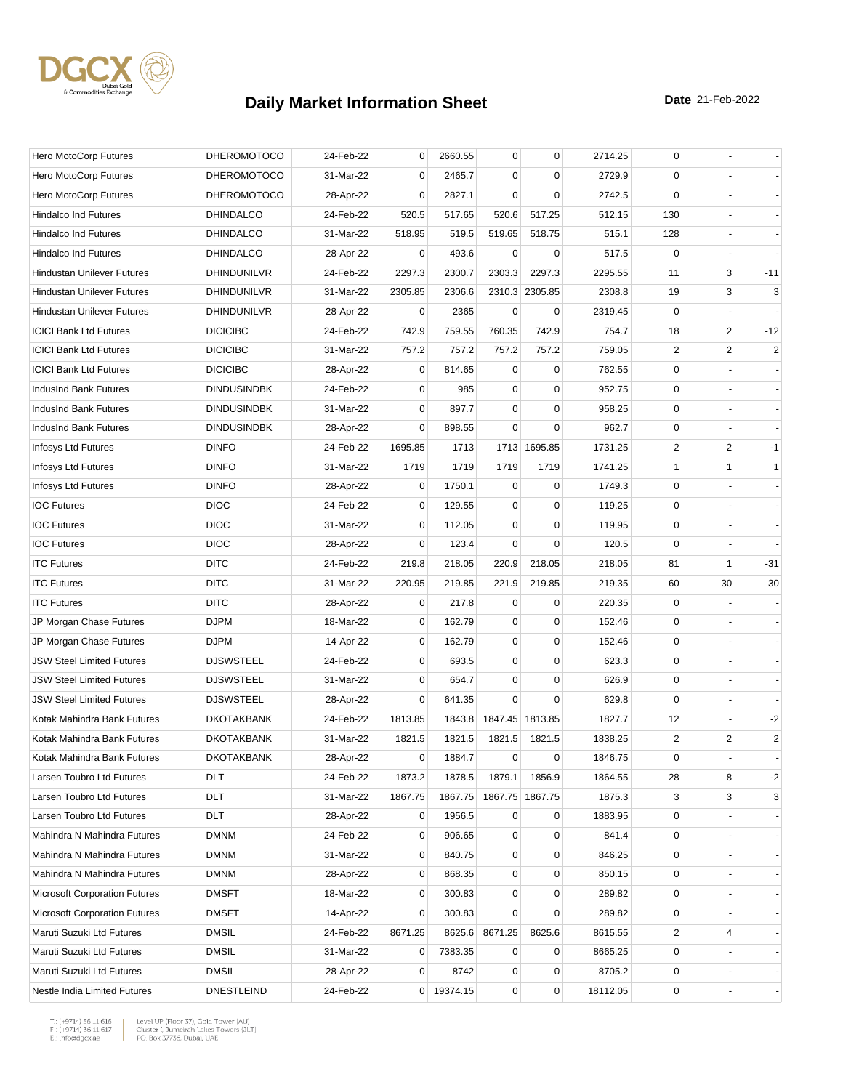

| Hero MotoCorp Futures                | <b>DHEROMOTOCO</b> | 24-Feb-22 | 0       | 2660.55    | 0           | $\mathbf 0$     | 2714.25  | 0              |                |                |
|--------------------------------------|--------------------|-----------|---------|------------|-------------|-----------------|----------|----------------|----------------|----------------|
| Hero MotoCorp Futures                | <b>DHEROMOTOCO</b> | 31-Mar-22 | 0       | 2465.7     | $\mathbf 0$ | 0               | 2729.9   | 0              |                |                |
| Hero MotoCorp Futures                | <b>DHEROMOTOCO</b> | 28-Apr-22 | 0       | 2827.1     | $\Omega$    | $\mathbf 0$     | 2742.5   | $\mathbf 0$    |                |                |
| Hindalco Ind Futures                 | <b>DHINDALCO</b>   | 24-Feb-22 | 520.5   | 517.65     | 520.6       | 517.25          | 512.15   | 130            |                |                |
| <b>Hindalco Ind Futures</b>          | <b>DHINDALCO</b>   | 31-Mar-22 | 518.95  | 519.5      | 519.65      | 518.75          | 515.1    | 128            |                |                |
| <b>Hindalco Ind Futures</b>          | <b>DHINDALCO</b>   | 28-Apr-22 | 0       | 493.6      | $\mathbf 0$ | 0               | 517.5    | 0              |                |                |
| <b>Hindustan Unilever Futures</b>    | DHINDUNILVR        | 24-Feb-22 | 2297.3  | 2300.7     | 2303.3      | 2297.3          | 2295.55  | 11             | 3              | $-11$          |
| <b>Hindustan Unilever Futures</b>    | DHINDUNILVR        | 31-Mar-22 | 2305.85 | 2306.6     |             | 2310.3 2305.85  | 2308.8   | 19             | 3              | 3              |
| <b>Hindustan Unilever Futures</b>    | DHINDUNILVR        | 28-Apr-22 | 0       | 2365       | 0           | 0               | 2319.45  | 0              |                |                |
| <b>ICICI Bank Ltd Futures</b>        | <b>DICICIBC</b>    | 24-Feb-22 | 742.9   | 759.55     | 760.35      | 742.9           | 754.7    | 18             | $\overline{2}$ | $-12$          |
| <b>ICICI Bank Ltd Futures</b>        | <b>DICICIBC</b>    | 31-Mar-22 | 757.2   | 757.2      | 757.2       | 757.2           | 759.05   | $\overline{2}$ | $\overline{c}$ | $\overline{c}$ |
| <b>ICICI Bank Ltd Futures</b>        | <b>DICICIBC</b>    | 28-Apr-22 | 0       | 814.65     | $\mathbf 0$ | 0               | 762.55   | $\mathbf 0$    |                |                |
| IndusInd Bank Futures                | <b>DINDUSINDBK</b> | 24-Feb-22 | 0       | 985        | 0           | 0               | 952.75   | 0              |                |                |
| IndusInd Bank Futures                | <b>DINDUSINDBK</b> | 31-Mar-22 | 0       | 897.7      | $\mathbf 0$ | $\mathbf 0$     | 958.25   | 0              |                |                |
| IndusInd Bank Futures                | <b>DINDUSINDBK</b> | 28-Apr-22 | 0       | 898.55     | $\mathbf 0$ | $\mathbf 0$     | 962.7    | 0              |                |                |
| Infosys Ltd Futures                  | <b>DINFO</b>       | 24-Feb-22 | 1695.85 | 1713       |             | 1713 1695.85    | 1731.25  | 2              | 2              | $-1$           |
| Infosys Ltd Futures                  | <b>DINFO</b>       | 31-Mar-22 | 1719    | 1719       | 1719        | 1719            | 1741.25  | $\mathbf{1}$   | $\mathbf{1}$   | $\mathbf{1}$   |
| Infosys Ltd Futures                  | <b>DINFO</b>       | 28-Apr-22 | 0       | 1750.1     | $\mathbf 0$ | $\mathbf 0$     | 1749.3   | 0              |                |                |
| <b>IOC Futures</b>                   | <b>DIOC</b>        | 24-Feb-22 | 0       | 129.55     | 0           | 0               | 119.25   | 0              |                |                |
| <b>IOC Futures</b>                   | <b>DIOC</b>        | 31-Mar-22 | 0       | 112.05     | $\mathbf 0$ | $\mathbf 0$     | 119.95   | $\mathbf 0$    |                |                |
| <b>IOC Futures</b>                   | <b>DIOC</b>        | 28-Apr-22 | 0       | 123.4      | $\mathbf 0$ | $\mathbf 0$     | 120.5    | $\mathbf 0$    |                |                |
| <b>ITC Futures</b>                   | <b>DITC</b>        | 24-Feb-22 | 219.8   | 218.05     | 220.9       | 218.05          | 218.05   | 81             | 1              | $-31$          |
| <b>ITC Futures</b>                   | <b>DITC</b>        | 31-Mar-22 | 220.95  | 219.85     | 221.9       | 219.85          | 219.35   | 60             | 30             | 30             |
| <b>ITC Futures</b>                   | <b>DITC</b>        | 28-Apr-22 | 0       | 217.8      | 0           | 0               | 220.35   | 0              |                |                |
| JP Morgan Chase Futures              | <b>DJPM</b>        | 18-Mar-22 | 0       | 162.79     | $\mathbf 0$ | 0               | 152.46   | 0              |                |                |
| JP Morgan Chase Futures              | <b>DJPM</b>        | 14-Apr-22 | 0       | 162.79     | 0           | $\mathbf 0$     | 152.46   | 0              |                |                |
| <b>JSW Steel Limited Futures</b>     | <b>DJSWSTEEL</b>   | 24-Feb-22 | 0       | 693.5      | 0           | $\mathbf 0$     | 623.3    | 0              |                |                |
| <b>JSW Steel Limited Futures</b>     | <b>DJSWSTEEL</b>   | 31-Mar-22 | 0       | 654.7      | 0           | $\mathbf 0$     | 626.9    | $\mathbf 0$    |                |                |
| <b>JSW Steel Limited Futures</b>     | <b>DJSWSTEEL</b>   | 28-Apr-22 | 0       | 641.35     | $\mathbf 0$ | $\mathbf 0$     | 629.8    | $\mathbf 0$    |                |                |
| Kotak Mahindra Bank Futures          | <b>DKOTAKBANK</b>  | 24-Feb-22 | 1813.85 | 1843.8     |             | 1847.45 1813.85 | 1827.7   | 12             |                | $-2$           |
| Kotak Mahindra Bank Futures          | <b>DKOTAKBANK</b>  | 31-Mar-22 | 1821.5  | 1821.5     | 1821.5      | 1821.5          | 1838.25  | $\overline{2}$ | $\overline{c}$ | $\overline{c}$ |
| Kotak Mahindra Bank Futures          | <b>DKOTAKBANK</b>  | 28-Apr-22 | 0       | 1884.7     | $\mathbf 0$ | 0               | 1846.75  | $\mathbf 0$    |                |                |
| Larsen Toubro Ltd Futures            | DLT                | 24-Feb-22 | 1873.2  | 1878.5     | 1879.1      | 1856.9          | 1864.55  | 28             | 8              | $-2$           |
| Larsen Toubro Ltd Futures            | DLT                | 31-Mar-22 | 1867.75 | 1867.75    |             | 1867.75 1867.75 | 1875.3   | 3              | 3              | 3              |
| Larsen Toubro Ltd Futures            | DLT                | 28-Apr-22 | 0       | 1956.5     | 0           | 0               | 1883.95  | 0              |                |                |
| Mahindra N Mahindra Futures          | <b>DMNM</b>        | 24-Feb-22 | 0       | 906.65     | 0           | 0               | 841.4    | 0              |                |                |
| Mahindra N Mahindra Futures          | <b>DMNM</b>        | 31-Mar-22 | 0       | 840.75     | 0           | $\mathbf 0$     | 846.25   | 0              |                |                |
| Mahindra N Mahindra Futures          | <b>DMNM</b>        | 28-Apr-22 | 0       | 868.35     | 0           | $\pmb{0}$       | 850.15   | 0              |                |                |
| <b>Microsoft Corporation Futures</b> | <b>DMSFT</b>       | 18-Mar-22 | 0       | 300.83     | 0           | 0               | 289.82   | 0              |                |                |
| <b>Microsoft Corporation Futures</b> | <b>DMSFT</b>       | 14-Apr-22 | 0       | 300.83     | $\mathbf 0$ | $\mathbf 0$     | 289.82   | 0              |                |                |
| Maruti Suzuki Ltd Futures            | <b>DMSIL</b>       | 24-Feb-22 | 8671.25 | 8625.6     | 8671.25     | 8625.6          | 8615.55  | 2              | 4              |                |
| Maruti Suzuki Ltd Futures            | <b>DMSIL</b>       | 31-Mar-22 | 0       | 7383.35    | 0           | 0               | 8665.25  | 0              |                |                |
| Maruti Suzuki Ltd Futures            | <b>DMSIL</b>       | 28-Apr-22 | 0       | 8742       | 0           | $\pmb{0}$       | 8705.2   | 0              |                |                |
| Nestle India Limited Futures         | <b>DNESTLEIND</b>  | 24-Feb-22 |         | 0 19374.15 | 0           | $\mathbf 0$     | 18112.05 | 0              |                |                |

 $\begin{tabular}{|l|l|l|l|} \hline $\mathsf{T}$: $(+9714)$ 36 11 616 & \textit{Level UP (Flow 37)},\textit{Gold Tower (AU)}$ \\ \hline \multicolumn{3}{|l|}{\mathsf{F}}:\\ $(+9714)$ 36 11 617 & \textit{Cluster I, Jumerirah Lakes Tower (JUT)}$ \\ \multicolumn{3}{|l|}{\mathsf{E}}:\\ $\text{infogdgcxae}$ & \multicolumn{3}{|l|}{\mathsf{PO}}. \textit{Box 37736, Dubai, UAE} \hline \end{tabular}$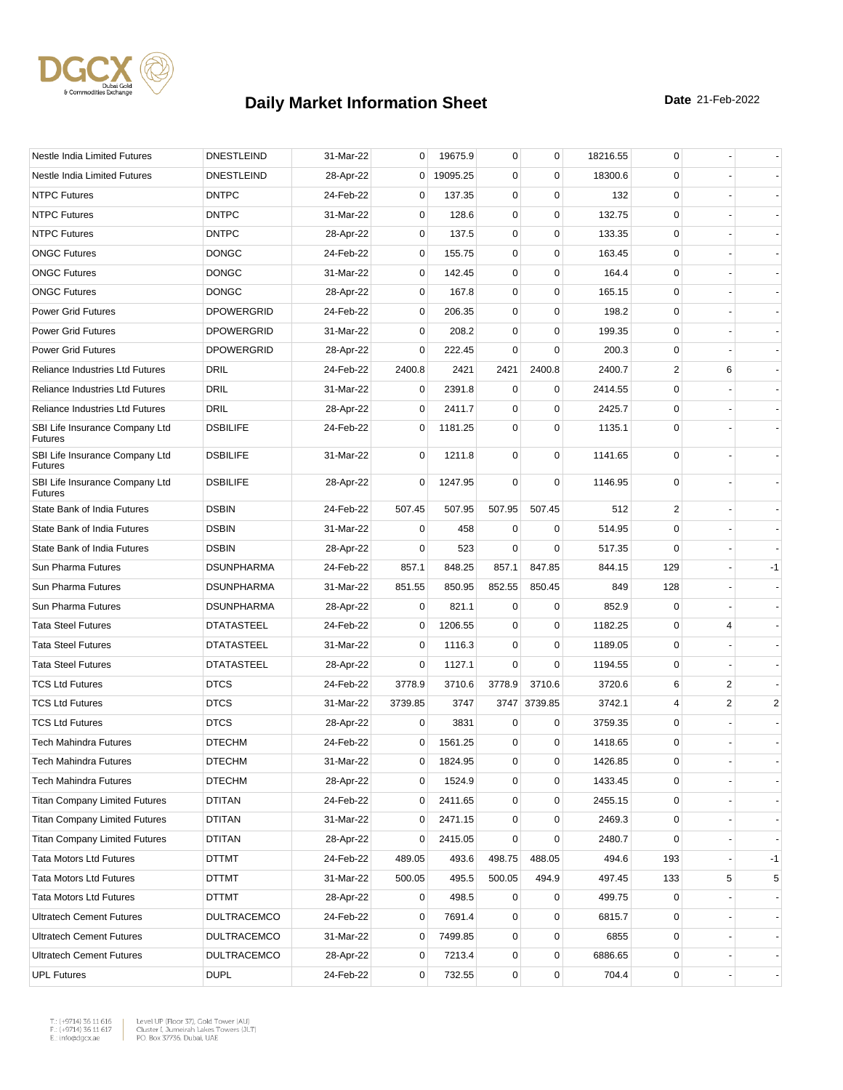

| Nestle India Limited Futures                     | <b>DNESTLEIND</b>  | 31-Mar-22 | 0              | 19675.9  | 0           | 0            | 18216.55 | 0           |                |                          |
|--------------------------------------------------|--------------------|-----------|----------------|----------|-------------|--------------|----------|-------------|----------------|--------------------------|
| Nestle India Limited Futures                     | <b>DNESTLEIND</b>  | 28-Apr-22 | 0              | 19095.25 | $\mathbf 0$ | 0            | 18300.6  | 0           |                |                          |
| <b>NTPC Futures</b>                              | <b>DNTPC</b>       | 24-Feb-22 | 0              | 137.35   | 0           | $\mathbf 0$  | 132      | $\mathbf 0$ |                |                          |
| <b>NTPC Futures</b>                              | <b>DNTPC</b>       | 31-Mar-22 | 0              | 128.6    | 0           | $\mathbf 0$  | 132.75   | $\mathbf 0$ |                |                          |
| <b>NTPC Futures</b>                              | <b>DNTPC</b>       | 28-Apr-22 | 0              | 137.5    | $\mathbf 0$ | $\mathbf 0$  | 133.35   | $\mathbf 0$ |                |                          |
| <b>ONGC Futures</b>                              | <b>DONGC</b>       | 24-Feb-22 | 0              | 155.75   | 0           | $\mathbf 0$  | 163.45   | 0           |                |                          |
| <b>ONGC Futures</b>                              | <b>DONGC</b>       | 31-Mar-22 | 0              | 142.45   | 0           | $\mathbf 0$  | 164.4    | $\mathbf 0$ |                |                          |
| <b>ONGC Futures</b>                              | <b>DONGC</b>       | 28-Apr-22 | 0              | 167.8    | 0           | 0            | 165.15   | $\mathbf 0$ |                |                          |
| <b>Power Grid Futures</b>                        | <b>DPOWERGRID</b>  | 24-Feb-22 | 0              | 206.35   | 0           | $\mathbf 0$  | 198.2    | $\mathbf 0$ |                |                          |
| <b>Power Grid Futures</b>                        | <b>DPOWERGRID</b>  | 31-Mar-22 | 0              | 208.2    | $\mathbf 0$ | $\mathbf 0$  | 199.35   | $\mathbf 0$ |                |                          |
| <b>Power Grid Futures</b>                        | <b>DPOWERGRID</b>  | 28-Apr-22 | 0              | 222.45   | $\mathbf 0$ | $\mathbf 0$  | 200.3    | 0           |                |                          |
| <b>Reliance Industries Ltd Futures</b>           | DRIL               | 24-Feb-22 | 2400.8         | 2421     | 2421        | 2400.8       | 2400.7   | 2           | 6              |                          |
| <b>Reliance Industries Ltd Futures</b>           | <b>DRIL</b>        | 31-Mar-22 | 0              | 2391.8   | 0           | 0            | 2414.55  | 0           |                |                          |
| <b>Reliance Industries Ltd Futures</b>           | <b>DRIL</b>        | 28-Apr-22 | 0              | 2411.7   | $\mathbf 0$ | $\mathbf 0$  | 2425.7   | 0           |                |                          |
| SBI Life Insurance Company Ltd<br><b>Futures</b> | <b>DSBILIFE</b>    | 24-Feb-22 | 0              | 1181.25  | $\mathbf 0$ | $\mathbf 0$  | 1135.1   | $\mathbf 0$ |                |                          |
| SBI Life Insurance Company Ltd<br><b>Futures</b> | <b>DSBILIFE</b>    | 31-Mar-22 | 0              | 1211.8   | $\mathbf 0$ | $\mathbf 0$  | 1141.65  | $\mathbf 0$ |                |                          |
| SBI Life Insurance Company Ltd<br><b>Futures</b> | <b>DSBILIFE</b>    | 28-Apr-22 | 0              | 1247.95  | $\mathbf 0$ | $\mathbf 0$  | 1146.95  | $\mathbf 0$ |                |                          |
| State Bank of India Futures                      | <b>DSBIN</b>       | 24-Feb-22 | 507.45         | 507.95   | 507.95      | 507.45       | 512      | 2           |                |                          |
| State Bank of India Futures                      | <b>DSBIN</b>       | 31-Mar-22 | 0              | 458      | $\mathbf 0$ | 0            | 514.95   | $\mathbf 0$ |                |                          |
| State Bank of India Futures                      | <b>DSBIN</b>       | 28-Apr-22 | 0              | 523      | $\Omega$    | $\mathbf 0$  | 517.35   | 0           |                |                          |
| Sun Pharma Futures                               | <b>DSUNPHARMA</b>  | 24-Feb-22 | 857.1          | 848.25   | 857.1       | 847.85       | 844.15   | 129         |                | $-1$                     |
| Sun Pharma Futures                               | <b>DSUNPHARMA</b>  | 31-Mar-22 | 851.55         | 850.95   | 852.55      | 850.45       | 849      | 128         |                |                          |
| Sun Pharma Futures                               | <b>DSUNPHARMA</b>  | 28-Apr-22 | 0              | 821.1    | 0           | 0            | 852.9    | 0           |                |                          |
| <b>Tata Steel Futures</b>                        | <b>DTATASTEEL</b>  | 24-Feb-22 | 0              | 1206.55  | $\mathbf 0$ | $\mathbf 0$  | 1182.25  | $\mathbf 0$ | 4              |                          |
| <b>Tata Steel Futures</b>                        | <b>DTATASTEEL</b>  | 31-Mar-22 | 0              | 1116.3   | 0           | 0            | 1189.05  | 0           |                |                          |
| <b>Tata Steel Futures</b>                        | <b>DTATASTEEL</b>  | 28-Apr-22 | $\mathbf 0$    | 1127.1   | $\mathbf 0$ | $\mathbf 0$  | 1194.55  | 0           |                |                          |
| <b>TCS Ltd Futures</b>                           | <b>DTCS</b>        | 24-Feb-22 | 3778.9         | 3710.6   | 3778.9      | 3710.6       | 3720.6   | 6           | $\overline{c}$ |                          |
| <b>TCS Ltd Futures</b>                           | <b>DTCS</b>        | 31-Mar-22 | 3739.85        | 3747     |             | 3747 3739.85 | 3742.1   | 4           | 2              | $\overline{c}$           |
| <b>TCS Ltd Futures</b>                           | <b>DTCS</b>        | 28-Apr-22 | 0              | 3831     | 0           | 0            | 3759.35  | 0           |                |                          |
| <b>Tech Mahindra Futures</b>                     | <b>DTECHM</b>      | 24-Feb-22 | 0              | 1561.25  | 0           | $\mathbf 0$  | 1418.65  | 0           |                |                          |
| Tech Mahindra Futures                            | <b>DTECHM</b>      | 31-Mar-22 | 0              | 1824.95  | 0           | 0            | 1426.85  | $\Omega$    |                |                          |
| <b>Tech Mahindra Futures</b>                     | <b>DTECHM</b>      | 28-Apr-22 | 0              | 1524.9   | 0           | $\mathbf 0$  | 1433.45  | 0           |                |                          |
| <b>Titan Company Limited Futures</b>             | DTITAN             | 24-Feb-22 | 0              | 2411.65  | 0           | $\pmb{0}$    | 2455.15  | 0           |                |                          |
| <b>Titan Company Limited Futures</b>             | <b>DTITAN</b>      | 31-Mar-22 | 0              | 2471.15  | 0           | 0            | 2469.3   | 0           |                |                          |
| <b>Titan Company Limited Futures</b>             | <b>DTITAN</b>      | 28-Apr-22 | 0              | 2415.05  | 0           | $\mathbf 0$  | 2480.7   | 0           |                |                          |
| <b>Tata Motors Ltd Futures</b>                   | DTTMT              | 24-Feb-22 | 489.05         | 493.6    | 498.75      | 488.05       | 494.6    | 193         |                | $-1$                     |
| <b>Tata Motors Ltd Futures</b>                   | <b>DTTMT</b>       | 31-Mar-22 | 500.05         | 495.5    | 500.05      | 494.9        | 497.45   | 133         | 5              | 5                        |
| <b>Tata Motors Ltd Futures</b>                   | DTTMT              | 28-Apr-22 | 0              | 498.5    | 0           | 0            | 499.75   | 0           |                | $\overline{\phantom{a}}$ |
| <b>Ultratech Cement Futures</b>                  | <b>DULTRACEMCO</b> | 24-Feb-22 | 0              | 7691.4   | $\mathbf 0$ | $\mathbf 0$  | 6815.7   | 0           |                |                          |
| <b>Ultratech Cement Futures</b>                  | <b>DULTRACEMCO</b> | 31-Mar-22 | 0              | 7499.85  | 0           | $\mathbf 0$  | 6855     | 0           |                |                          |
| <b>Ultratech Cement Futures</b>                  | DULTRACEMCO        | 28-Apr-22 | $\overline{0}$ | 7213.4   | 0           | $\pmb{0}$    | 6886.65  | 0           |                |                          |
| <b>UPL Futures</b>                               | <b>DUPL</b>        | 24-Feb-22 | 0              | 732.55   | 0           | $\pmb{0}$    | 704.4    | 0           |                |                          |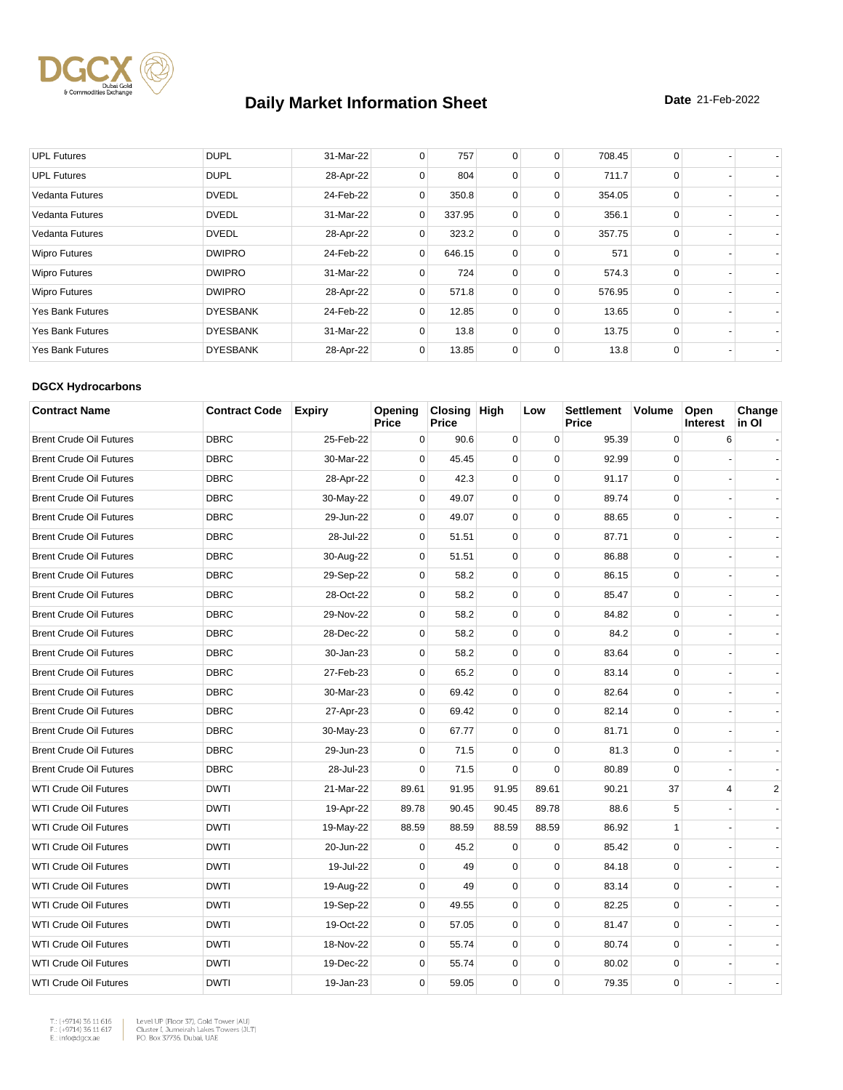

| <b>UPL Futures</b>      | <b>DUPL</b>     | 31-Mar-22 | 0 | 757    | 0 | 0        | 708.45 | 0        |  |
|-------------------------|-----------------|-----------|---|--------|---|----------|--------|----------|--|
| <b>UPL Futures</b>      | <b>DUPL</b>     | 28-Apr-22 | 0 | 804    | 0 | 0        | 711.7  | $\Omega$ |  |
| <b>Vedanta Futures</b>  | <b>DVEDL</b>    | 24-Feb-22 | 0 | 350.8  | 0 | 0        | 354.05 | $\Omega$ |  |
| <b>Vedanta Futures</b>  | <b>DVEDL</b>    | 31-Mar-22 | 0 | 337.95 | 0 | 0        | 356.1  | 0        |  |
| Vedanta Futures         | <b>DVEDL</b>    | 28-Apr-22 | 0 | 323.2  | 0 | 0        | 357.75 | $\Omega$ |  |
| <b>Wipro Futures</b>    | <b>DWIPRO</b>   | 24-Feb-22 | 0 | 646.15 | 0 | 0        | 571    | $\Omega$ |  |
| <b>Wipro Futures</b>    | <b>DWIPRO</b>   | 31-Mar-22 | 0 | 724    | 0 | $\Omega$ | 574.3  | $\Omega$ |  |
| <b>Wipro Futures</b>    | <b>DWIPRO</b>   | 28-Apr-22 | 0 | 571.8  | 0 | $\Omega$ | 576.95 | $\Omega$ |  |
| <b>Yes Bank Futures</b> | <b>DYESBANK</b> | 24-Feb-22 | 0 | 12.85  | 0 | 0        | 13.65  | 0        |  |
| <b>Yes Bank Futures</b> | <b>DYESBANK</b> | 31-Mar-22 | 0 | 13.8   | 0 | 0        | 13.75  | 0        |  |
| <b>Yes Bank Futures</b> | <b>DYESBANK</b> | 28-Apr-22 | 0 | 13.85  | 0 | 0        | 13.8   | $\Omega$ |  |

#### **DGCX Hydrocarbons**

| <b>Contract Name</b>           | <b>Contract Code</b> | <b>Expiry</b> | Opening<br>Price | Closing High<br><b>Price</b> |             | Low         | <b>Settlement</b><br><b>Price</b> | <b>Volume</b> | Open<br><b>Interest</b> | Change<br>in Ol |
|--------------------------------|----------------------|---------------|------------------|------------------------------|-------------|-------------|-----------------------------------|---------------|-------------------------|-----------------|
| <b>Brent Crude Oil Futures</b> | <b>DBRC</b>          | 25-Feb-22     | 0                | 90.6                         | $\mathbf 0$ | $\pmb{0}$   | 95.39                             | $\mathbf 0$   | 6                       |                 |
| <b>Brent Crude Oil Futures</b> | <b>DBRC</b>          | 30-Mar-22     | 0                | 45.45                        | 0           | $\mathbf 0$ | 92.99                             | $\mathbf 0$   |                         |                 |
| <b>Brent Crude Oil Futures</b> | <b>DBRC</b>          | 28-Apr-22     | $\mathbf 0$      | 42.3                         | $\mathbf 0$ | $\mathbf 0$ | 91.17                             | 0             |                         |                 |
| <b>Brent Crude Oil Futures</b> | <b>DBRC</b>          | 30-May-22     | $\mathbf 0$      | 49.07                        | $\mathbf 0$ | $\mathbf 0$ | 89.74                             | $\mathbf 0$   |                         |                 |
| <b>Brent Crude Oil Futures</b> | <b>DBRC</b>          | 29-Jun-22     | 0                | 49.07                        | $\mathbf 0$ | $\mathbf 0$ | 88.65                             | $\mathbf 0$   |                         |                 |
| <b>Brent Crude Oil Futures</b> | <b>DBRC</b>          | 28-Jul-22     | $\mathbf 0$      | 51.51                        | $\mathbf 0$ | $\mathbf 0$ | 87.71                             | $\mathbf 0$   |                         |                 |
| <b>Brent Crude Oil Futures</b> | <b>DBRC</b>          | 30-Aug-22     | 0                | 51.51                        | 0           | $\mathbf 0$ | 86.88                             | $\mathbf 0$   |                         |                 |
| <b>Brent Crude Oil Futures</b> | <b>DBRC</b>          | 29-Sep-22     | $\mathbf 0$      | 58.2                         | 0           | $\mathbf 0$ | 86.15                             | $\mathbf 0$   |                         |                 |
| <b>Brent Crude Oil Futures</b> | <b>DBRC</b>          | 28-Oct-22     | 0                | 58.2                         | 0           | $\pmb{0}$   | 85.47                             | 0             |                         |                 |
| <b>Brent Crude Oil Futures</b> | <b>DBRC</b>          | 29-Nov-22     | $\Omega$         | 58.2                         | 0           | $\mathbf 0$ | 84.82                             | $\mathbf 0$   |                         |                 |
| <b>Brent Crude Oil Futures</b> | <b>DBRC</b>          | 28-Dec-22     | $\Omega$         | 58.2                         | 0           | $\mathbf 0$ | 84.2                              | $\Omega$      |                         |                 |
| <b>Brent Crude Oil Futures</b> | <b>DBRC</b>          | 30-Jan-23     | $\mathbf 0$      | 58.2                         | $\mathbf 0$ | $\mathbf 0$ | 83.64                             | $\mathbf 0$   |                         |                 |
| <b>Brent Crude Oil Futures</b> | <b>DBRC</b>          | 27-Feb-23     | $\Omega$         | 65.2                         | $\mathbf 0$ | $\mathbf 0$ | 83.14                             | $\mathbf 0$   |                         |                 |
| <b>Brent Crude Oil Futures</b> | <b>DBRC</b>          | 30-Mar-23     | $\mathbf 0$      | 69.42                        | $\mathbf 0$ | $\mathbf 0$ | 82.64                             | $\mathbf 0$   |                         |                 |
| <b>Brent Crude Oil Futures</b> | <b>DBRC</b>          | 27-Apr-23     | $\mathbf 0$      | 69.42                        | $\mathbf 0$ | $\mathbf 0$ | 82.14                             | $\mathbf 0$   |                         |                 |
| <b>Brent Crude Oil Futures</b> | <b>DBRC</b>          | 30-May-23     | 0                | 67.77                        | 0           | $\mathbf 0$ | 81.71                             | $\mathbf 0$   |                         |                 |
| <b>Brent Crude Oil Futures</b> | <b>DBRC</b>          | 29-Jun-23     | $\mathbf 0$      | 71.5                         | $\mathbf 0$ | $\mathbf 0$ | 81.3                              | $\mathbf 0$   |                         |                 |
| <b>Brent Crude Oil Futures</b> | <b>DBRC</b>          | 28-Jul-23     | $\Omega$         | 71.5                         | $\Omega$    | $\Omega$    | 80.89                             | $\Omega$      |                         |                 |
| <b>WTI Crude Oil Futures</b>   | <b>DWTI</b>          | 21-Mar-22     | 89.61            | 91.95                        | 91.95       | 89.61       | 90.21                             | 37            | $\overline{4}$          | 2               |
| <b>WTI Crude Oil Futures</b>   | <b>DWTI</b>          | 19-Apr-22     | 89.78            | 90.45                        | 90.45       | 89.78       | 88.6                              | 5             |                         |                 |
| <b>WTI Crude Oil Futures</b>   | <b>DWTI</b>          | 19-May-22     | 88.59            | 88.59                        | 88.59       | 88.59       | 86.92                             | $\mathbf{1}$  |                         |                 |
| <b>WTI Crude Oil Futures</b>   | <b>DWTI</b>          | 20-Jun-22     | 0                | 45.2                         | $\mathbf 0$ | $\mathbf 0$ | 85.42                             | $\mathbf 0$   |                         |                 |
| <b>WTI Crude Oil Futures</b>   | <b>DWTI</b>          | 19-Jul-22     | 0                | 49                           | $\mathbf 0$ | 0           | 84.18                             | 0             |                         |                 |
| <b>WTI Crude Oil Futures</b>   | <b>DWTI</b>          | 19-Aug-22     | $\mathbf 0$      | 49                           | $\mathbf 0$ | $\mathbf 0$ | 83.14                             | $\mathbf 0$   |                         |                 |
| <b>WTI Crude Oil Futures</b>   | <b>DWTI</b>          | 19-Sep-22     | $\mathbf 0$      | 49.55                        | $\mathbf 0$ | $\mathbf 0$ | 82.25                             | 0             |                         |                 |
| <b>WTI Crude Oil Futures</b>   | <b>DWTI</b>          | 19-Oct-22     | 0                | 57.05                        | 0           | 0           | 81.47                             | 0             |                         |                 |
| <b>WTI Crude Oil Futures</b>   | <b>DWTI</b>          | 18-Nov-22     | $\mathbf 0$      | 55.74                        | $\mathbf 0$ | $\mathbf 0$ | 80.74                             | $\mathbf 0$   |                         |                 |
| <b>WTI Crude Oil Futures</b>   | <b>DWTI</b>          | 19-Dec-22     | 0                | 55.74                        | 0           | $\mathbf 0$ | 80.02                             | $\mathbf 0$   |                         |                 |
| <b>WTI Crude Oil Futures</b>   | <b>DWTI</b>          | 19-Jan-23     | $\Omega$         | 59.05                        | 0           | $\Omega$    | 79.35                             | $\Omega$      |                         |                 |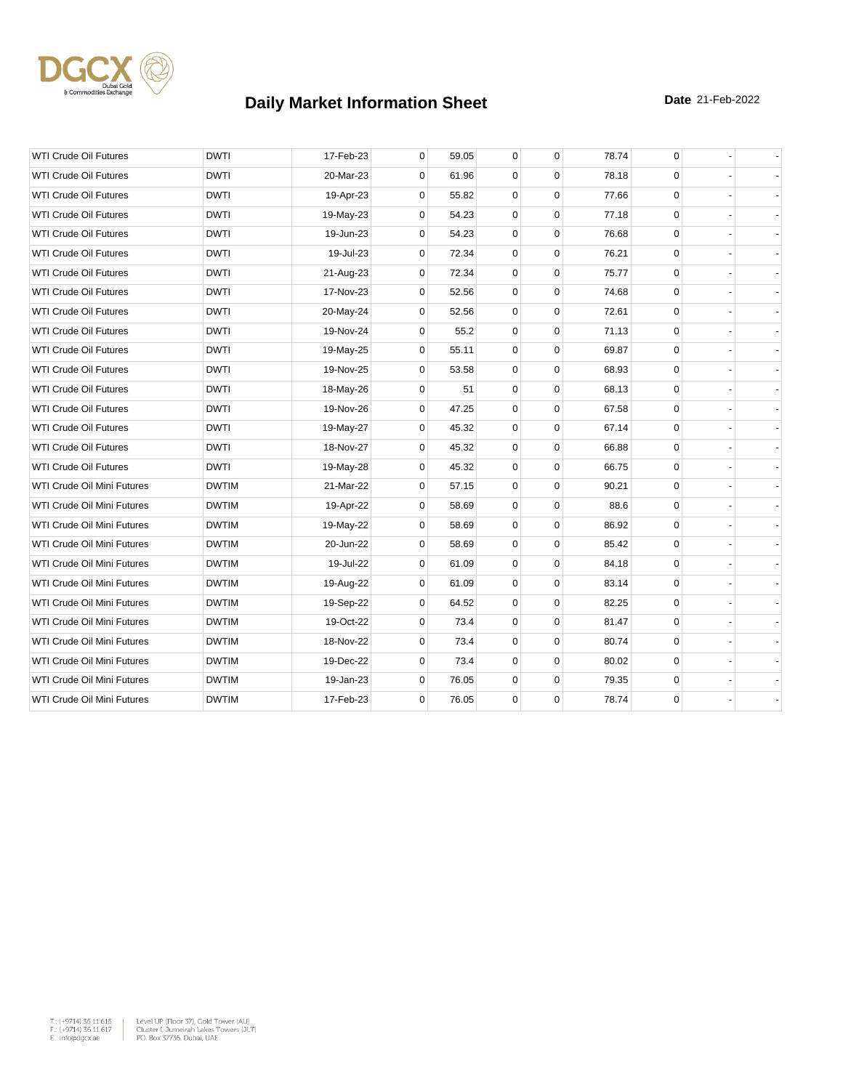

| <b>WTI Crude Oil Futures</b>      | <b>DWTI</b>  | 17-Feb-23 | 0           | 59.05 | 0           | $\mathbf 0$ | 78.74 | 0           |  |
|-----------------------------------|--------------|-----------|-------------|-------|-------------|-------------|-------|-------------|--|
| <b>WTI Crude Oil Futures</b>      | <b>DWTI</b>  | 20-Mar-23 | 0           | 61.96 | 0           | $\mathbf 0$ | 78.18 | $\mathbf 0$ |  |
| <b>WTI Crude Oil Futures</b>      | <b>DWTI</b>  | 19-Apr-23 | 0           | 55.82 | $\mathbf 0$ | $\Omega$    | 77.66 | $\mathbf 0$ |  |
| <b>WTI Crude Oil Futures</b>      | <b>DWTI</b>  | 19-May-23 | $\mathbf 0$ | 54.23 | $\mathbf 0$ | $\mathbf 0$ | 77.18 | $\mathbf 0$ |  |
| <b>WTI Crude Oil Futures</b>      | <b>DWTI</b>  | 19-Jun-23 | 0           | 54.23 | $\mathbf 0$ | $\mathbf 0$ | 76.68 | $\mathbf 0$ |  |
| <b>WTI Crude Oil Futures</b>      | <b>DWTI</b>  | 19-Jul-23 | $\Omega$    | 72.34 | $\mathbf 0$ | $\mathbf 0$ | 76.21 | $\mathbf 0$ |  |
| <b>WTI Crude Oil Futures</b>      | <b>DWTI</b>  | 21-Aug-23 | $\mathbf 0$ | 72.34 | 0           | $\mathbf 0$ | 75.77 | $\mathbf 0$ |  |
| <b>WTI Crude Oil Futures</b>      | <b>DWTI</b>  | 17-Nov-23 | 0           | 52.56 | 0           | $\mathbf 0$ | 74.68 | 0           |  |
| WTI Crude Oil Futures             | <b>DWTI</b>  | 20-May-24 | $\mathbf 0$ | 52.56 | $\mathbf 0$ | $\mathbf 0$ | 72.61 | 0           |  |
| <b>WTI Crude Oil Futures</b>      | <b>DWTI</b>  | 19-Nov-24 | $\mathbf 0$ | 55.2  | 0           | $\mathbf 0$ | 71.13 | $\mathbf 0$ |  |
| <b>WTI Crude Oil Futures</b>      | <b>DWTI</b>  | 19-May-25 | $\mathbf 0$ | 55.11 | 0           | $\mathbf 0$ | 69.87 | $\mathbf 0$ |  |
| <b>WTI Crude Oil Futures</b>      | <b>DWTI</b>  | 19-Nov-25 | 0           | 53.58 | $\mathbf 0$ | $\Omega$    | 68.93 | $\mathbf 0$ |  |
| <b>WTI Crude Oil Futures</b>      | <b>DWTI</b>  | 18-May-26 | $\mathbf 0$ | 51    | $\mathbf 0$ | $\mathbf 0$ | 68.13 | 0           |  |
| <b>WTI Crude Oil Futures</b>      | <b>DWTI</b>  | 19-Nov-26 | 0           | 47.25 | 0           | $\mathbf 0$ | 67.58 | 0           |  |
| WTI Crude Oil Futures             | <b>DWTI</b>  | 19-May-27 | 0           | 45.32 | $\mathbf 0$ | $\mathbf 0$ | 67.14 | $\mathbf 0$ |  |
| <b>WTI Crude Oil Futures</b>      | <b>DWTI</b>  | 18-Nov-27 | $\mathbf 0$ | 45.32 | $\mathbf 0$ | $\mathbf 0$ | 66.88 | $\mathbf 0$ |  |
| <b>WTI Crude Oil Futures</b>      | <b>DWTI</b>  | 19-May-28 | $\mathbf 0$ | 45.32 | 0           | $\mathbf 0$ | 66.75 | $\mathbf 0$ |  |
| WTI Crude Oil Mini Futures        | <b>DWTIM</b> | 21-Mar-22 | 0           | 57.15 | $\mathbf 0$ | $\mathbf 0$ | 90.21 | 0           |  |
| <b>WTI Crude Oil Mini Futures</b> | <b>DWTIM</b> | 19-Apr-22 | $\Omega$    | 58.69 | 0           | $\Omega$    | 88.6  | $\mathbf 0$ |  |
| WTI Crude Oil Mini Futures        | <b>DWTIM</b> | 19-May-22 | 0           | 58.69 | 0           | $\mathbf 0$ | 86.92 | $\mathsf 0$ |  |
| WTI Crude Oil Mini Futures        | <b>DWTIM</b> | 20-Jun-22 | $\mathbf 0$ | 58.69 | 0           | $\mathbf 0$ | 85.42 | 0           |  |
| <b>WTI Crude Oil Mini Futures</b> | <b>DWTIM</b> | 19-Jul-22 | $\mathbf 0$ | 61.09 | $\mathbf 0$ | $\mathbf 0$ | 84.18 | 0           |  |
| WTI Crude Oil Mini Futures        | <b>DWTIM</b> | 19-Aug-22 | $\mathbf 0$ | 61.09 | 0           | $\mathbf 0$ | 83.14 | 0           |  |
| WTI Crude Oil Mini Futures        | <b>DWTIM</b> | 19-Sep-22 | 0           | 64.52 | $\mathbf 0$ | $\mathbf 0$ | 82.25 | 0           |  |
| WTI Crude Oil Mini Futures        | <b>DWTIM</b> | 19-Oct-22 | $\Omega$    | 73.4  | $\mathbf 0$ | $\mathbf 0$ | 81.47 | $\mathbf 0$ |  |
| WTI Crude Oil Mini Futures        | <b>DWTIM</b> | 18-Nov-22 | 0           | 73.4  | 0           | $\mathbf 0$ | 80.74 | 0           |  |
| WTI Crude Oil Mini Futures        | <b>DWTIM</b> | 19-Dec-22 | $\mathbf 0$ | 73.4  | 0           | $\mathbf 0$ | 80.02 | $\mathbf 0$ |  |
| WTI Crude Oil Mini Futures        | <b>DWTIM</b> | 19-Jan-23 | $\mathbf 0$ | 76.05 | $\mathbf 0$ | $\mathbf 0$ | 79.35 | $\mathbf 0$ |  |
| WTI Crude Oil Mini Futures        | <b>DWTIM</b> | 17-Feb-23 | $\mathbf 0$ | 76.05 | $\mathbf 0$ | $\mathbf 0$ | 78.74 | $\mathbf 0$ |  |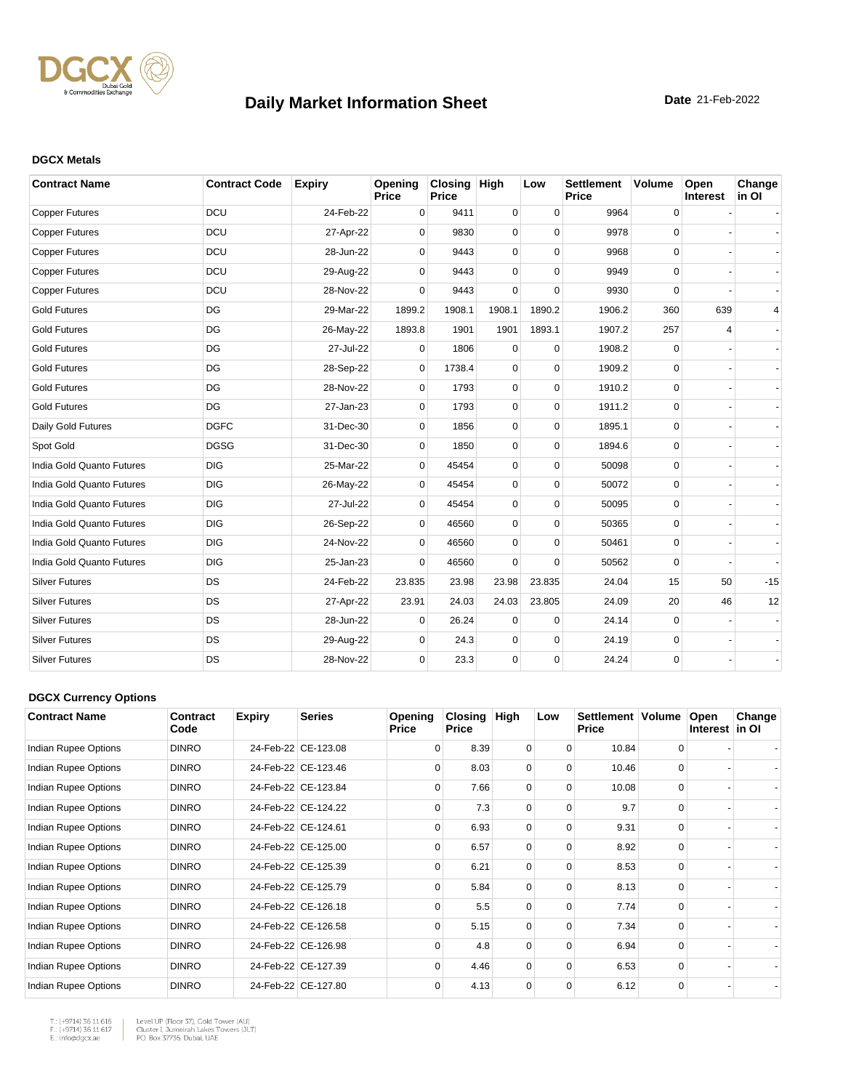

#### **DGCX Metals**

| <b>Contract Name</b>      | <b>Contract Code</b> | <b>Expiry</b> | Opening<br>Price | Closing High<br>Price |             | Low         | <b>Settlement</b><br><b>Price</b> | <b>Volume</b> | Open<br>Interest | Change<br>in OI |
|---------------------------|----------------------|---------------|------------------|-----------------------|-------------|-------------|-----------------------------------|---------------|------------------|-----------------|
| <b>Copper Futures</b>     | <b>DCU</b>           | 24-Feb-22     | 0                | 9411                  | 0           | $\mathbf 0$ | 9964                              | 0             |                  |                 |
| <b>Copper Futures</b>     | <b>DCU</b>           | 27-Apr-22     | $\Omega$         | 9830                  | 0           | $\Omega$    | 9978                              | 0             |                  |                 |
| <b>Copper Futures</b>     | <b>DCU</b>           | 28-Jun-22     | $\Omega$         | 9443                  | 0           | $\Omega$    | 9968                              | 0             |                  |                 |
| <b>Copper Futures</b>     | DCU                  | 29-Aug-22     | $\Omega$         | 9443                  | 0           | $\Omega$    | 9949                              | 0             |                  |                 |
| <b>Copper Futures</b>     | DCU                  | 28-Nov-22     | $\Omega$         | 9443                  | $\mathbf 0$ | $\Omega$    | 9930                              | 0             |                  |                 |
| <b>Gold Futures</b>       | DG                   | 29-Mar-22     | 1899.2           | 1908.1                | 1908.1      | 1890.2      | 1906.2                            | 360           | 639              | 4               |
| <b>Gold Futures</b>       | DG                   | 26-May-22     | 1893.8           | 1901                  | 1901        | 1893.1      | 1907.2                            | 257           | 4                |                 |
| <b>Gold Futures</b>       | DG                   | 27-Jul-22     | 0                | 1806                  | 0           | $\mathbf 0$ | 1908.2                            | 0             |                  |                 |
| <b>Gold Futures</b>       | DG                   | 28-Sep-22     | 0                | 1738.4                | 0           | $\Omega$    | 1909.2                            | 0             |                  |                 |
| <b>Gold Futures</b>       | DG                   | 28-Nov-22     | 0                | 1793                  | 0           | $\mathbf 0$ | 1910.2                            | $\mathbf 0$   |                  |                 |
| <b>Gold Futures</b>       | DG                   | 27-Jan-23     | $\mathbf 0$      | 1793                  | 0           | $\mathbf 0$ | 1911.2                            | $\mathbf 0$   |                  |                 |
| Daily Gold Futures        | <b>DGFC</b>          | 31-Dec-30     | $\mathbf 0$      | 1856                  | 0           | $\mathbf 0$ | 1895.1                            | 0             |                  |                 |
| Spot Gold                 | <b>DGSG</b>          | 31-Dec-30     | $\mathbf 0$      | 1850                  | 0           | $\mathbf 0$ | 1894.6                            | 0             |                  |                 |
| India Gold Quanto Futures | <b>DIG</b>           | 25-Mar-22     | 0                | 45454                 | 0           | $\mathbf 0$ | 50098                             | 0             |                  |                 |
| India Gold Quanto Futures | <b>DIG</b>           | 26-May-22     | $\Omega$         | 45454                 | 0           | $\Omega$    | 50072                             | 0             |                  |                 |
| India Gold Quanto Futures | <b>DIG</b>           | 27-Jul-22     | $\Omega$         | 45454                 | 0           | $\Omega$    | 50095                             | 0             |                  |                 |
| India Gold Quanto Futures | <b>DIG</b>           | 26-Sep-22     | $\Omega$         | 46560                 | 0           | $\Omega$    | 50365                             | 0             |                  |                 |
| India Gold Quanto Futures | <b>DIG</b>           | 24-Nov-22     | 0                | 46560                 | 0           | $\Omega$    | 50461                             | 0             |                  |                 |
| India Gold Quanto Futures | <b>DIG</b>           | 25-Jan-23     | $\Omega$         | 46560                 | $\Omega$    | $\Omega$    | 50562                             | $\Omega$      |                  |                 |
| <b>Silver Futures</b>     | <b>DS</b>            | 24-Feb-22     | 23.835           | 23.98                 | 23.98       | 23.835      | 24.04                             | 15            | 50               | $-15$           |
| <b>Silver Futures</b>     | <b>DS</b>            | 27-Apr-22     | 23.91            | 24.03                 | 24.03       | 23.805      | 24.09                             | 20            | 46               | 12              |
| <b>Silver Futures</b>     | <b>DS</b>            | 28-Jun-22     | 0                | 26.24                 | 0           | $\mathbf 0$ | 24.14                             | 0             |                  |                 |
| <b>Silver Futures</b>     | DS                   | 29-Aug-22     | $\Omega$         | 24.3                  | 0           | $\mathbf 0$ | 24.19                             | 0             |                  |                 |
| <b>Silver Futures</b>     | DS                   | 28-Nov-22     | $\Omega$         | 23.3                  | 0           | $\Omega$    | 24.24                             | 0             |                  |                 |

#### **DGCX Currency Options**

| <b>Contract Name</b> | Contract<br>Code | <b>Expiry</b> | <b>Series</b>       | Opening<br><b>Price</b> | Closing<br><b>Price</b> | High     | Low      | Settlement   Volume<br><b>Price</b> |          | Open<br>Interest in OI | Change |
|----------------------|------------------|---------------|---------------------|-------------------------|-------------------------|----------|----------|-------------------------------------|----------|------------------------|--------|
| Indian Rupee Options | <b>DINRO</b>     |               | 24-Feb-22 CE-123.08 | $\Omega$                | 8.39                    | 0        | $\Omega$ | 10.84                               | $\Omega$ |                        |        |
| Indian Rupee Options | <b>DINRO</b>     |               | 24-Feb-22 CE-123.46 | $\Omega$                | 8.03                    | $\Omega$ | $\Omega$ | 10.46                               | $\Omega$ |                        |        |
| Indian Rupee Options | <b>DINRO</b>     |               | 24-Feb-22 CE-123.84 | $\Omega$                | 7.66                    | 0        | $\Omega$ | 10.08                               |          |                        |        |
| Indian Rupee Options | <b>DINRO</b>     |               | 24-Feb-22 CE-124.22 | $\Omega$                | 7.3                     | $\Omega$ | $\Omega$ | 9.7                                 | $\Omega$ |                        |        |
| Indian Rupee Options | <b>DINRO</b>     |               | 24-Feb-22 CE-124.61 | $\Omega$                | 6.93                    | 0        | $\Omega$ | 9.31                                | $\Omega$ |                        |        |
| Indian Rupee Options | <b>DINRO</b>     |               | 24-Feb-22 CE-125.00 | $\Omega$                | 6.57                    | $\Omega$ | $\Omega$ | 8.92                                | $\Omega$ |                        |        |
| Indian Rupee Options | <b>DINRO</b>     |               | 24-Feb-22 CE-125.39 | $\Omega$                | 6.21                    | $\Omega$ | 0        | 8.53                                | $\Omega$ |                        |        |
| Indian Rupee Options | <b>DINRO</b>     |               | 24-Feb-22 CE-125.79 | $\Omega$                | 5.84                    | $\Omega$ | $\Omega$ | 8.13                                | $\Omega$ |                        |        |
| Indian Rupee Options | <b>DINRO</b>     |               | 24-Feb-22 CE-126.18 | $\Omega$                | 5.5                     | $\Omega$ | $\Omega$ | 7.74                                | $\Omega$ |                        |        |
| Indian Rupee Options | <b>DINRO</b>     |               | 24-Feb-22 CE-126.58 | $\Omega$                | 5.15                    | $\Omega$ | $\Omega$ | 7.34                                | $\Omega$ |                        |        |
| Indian Rupee Options | <b>DINRO</b>     |               | 24-Feb-22 CE-126.98 | $\Omega$                | 4.8                     | 0        | $\Omega$ | 6.94                                | $\Omega$ |                        |        |
| Indian Rupee Options | <b>DINRO</b>     |               | 24-Feb-22 CE-127.39 | $\Omega$                | 4.46                    | $\Omega$ | $\Omega$ | 6.53                                | $\Omega$ |                        |        |
| Indian Rupee Options | <b>DINRO</b>     |               | 24-Feb-22 CE-127.80 | $\Omega$                | 4.13                    | $\Omega$ | $\Omega$ | 6.12                                | $\Omega$ |                        |        |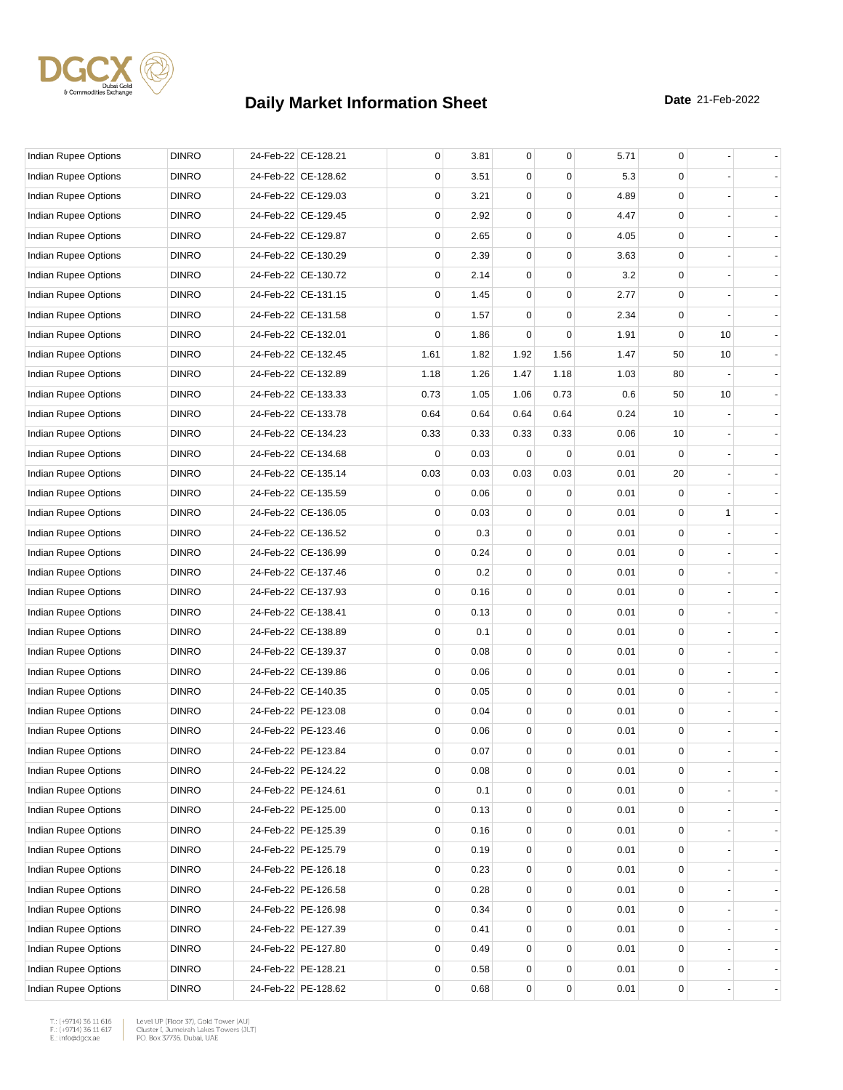

| <b>Indian Rupee Options</b> | <b>DINRO</b> | 24-Feb-22 CE-128.21 | 0    | 3.81 | $\mathbf 0$ | 0                | 5.71 | 0           |              |                |
|-----------------------------|--------------|---------------------|------|------|-------------|------------------|------|-------------|--------------|----------------|
| Indian Rupee Options        | <b>DINRO</b> | 24-Feb-22 CE-128.62 | 0    | 3.51 | 0           | $\Omega$         | 5.3  | 0           |              |                |
| <b>Indian Rupee Options</b> | <b>DINRO</b> | 24-Feb-22 CE-129.03 | 0    | 3.21 | 0           | $\mathbf 0$      | 4.89 | 0           |              |                |
| Indian Rupee Options        | <b>DINRO</b> | 24-Feb-22 CE-129.45 | 0    | 2.92 | $\mathbf 0$ | $\mathbf 0$      | 4.47 | 0           |              |                |
| <b>Indian Rupee Options</b> | <b>DINRO</b> | 24-Feb-22 CE-129.87 | 0    | 2.65 | $\mathbf 0$ | 0                | 4.05 | 0           |              |                |
| Indian Rupee Options        | <b>DINRO</b> | 24-Feb-22 CE-130.29 | 0    | 2.39 | $\mathbf 0$ | $\mathbf 0$      | 3.63 | 0           |              |                |
| Indian Rupee Options        | <b>DINRO</b> | 24-Feb-22 CE-130.72 | 0    | 2.14 | $\mathbf 0$ | 0                | 3.2  | 0           |              |                |
| Indian Rupee Options        | <b>DINRO</b> | 24-Feb-22 CE-131.15 | 0    | 1.45 | 0           | $\mathbf 0$      | 2.77 | 0           |              |                |
| Indian Rupee Options        | <b>DINRO</b> | 24-Feb-22 CE-131.58 | 0    | 1.57 | $\mathbf 0$ | $\mathbf 0$      | 2.34 | 0           |              |                |
| Indian Rupee Options        | <b>DINRO</b> | 24-Feb-22 CE-132.01 | 0    | 1.86 | $\mathbf 0$ | 0                | 1.91 | $\mathbf 0$ | 10           |                |
| Indian Rupee Options        | <b>DINRO</b> | 24-Feb-22 CE-132.45 | 1.61 | 1.82 | 1.92        | 1.56             | 1.47 | 50          | 10           |                |
| Indian Rupee Options        | <b>DINRO</b> | 24-Feb-22 CE-132.89 | 1.18 | 1.26 | 1.47        | 1.18             | 1.03 | 80          |              |                |
| Indian Rupee Options        | <b>DINRO</b> | 24-Feb-22 CE-133.33 | 0.73 | 1.05 | 1.06        | 0.73             | 0.6  | 50          | 10           |                |
| Indian Rupee Options        | <b>DINRO</b> | 24-Feb-22 CE-133.78 | 0.64 | 0.64 | 0.64        | 0.64             | 0.24 | 10          |              |                |
| Indian Rupee Options        | <b>DINRO</b> | 24-Feb-22 CE-134.23 | 0.33 | 0.33 | 0.33        | 0.33             | 0.06 | 10          |              |                |
| Indian Rupee Options        | <b>DINRO</b> | 24-Feb-22 CE-134.68 | 0    | 0.03 | $\mathbf 0$ | 0                | 0.01 | $\mathbf 0$ |              |                |
| Indian Rupee Options        | <b>DINRO</b> | 24-Feb-22 CE-135.14 | 0.03 | 0.03 | 0.03        | 0.03             | 0.01 | 20          |              |                |
| Indian Rupee Options        | <b>DINRO</b> | 24-Feb-22 CE-135.59 | 0    | 0.06 | $\mathbf 0$ | 0                | 0.01 | 0           |              |                |
| Indian Rupee Options        | <b>DINRO</b> | 24-Feb-22 CE-136.05 | 0    | 0.03 | $\mathbf 0$ | $\mathbf 0$      | 0.01 | 0           | $\mathbf{1}$ |                |
| Indian Rupee Options        | <b>DINRO</b> | 24-Feb-22 CE-136.52 | 0    | 0.3  | $\mathbf 0$ | $\mathbf 0$      | 0.01 | 0           |              |                |
| Indian Rupee Options        | <b>DINRO</b> | 24-Feb-22 CE-136.99 | 0    | 0.24 | $\mathbf 0$ | $\mathbf 0$      | 0.01 | 0           |              |                |
| Indian Rupee Options        | <b>DINRO</b> | 24-Feb-22 CE-137.46 | 0    | 0.2  | $\mathbf 0$ | 0                | 0.01 | 0           |              |                |
| Indian Rupee Options        | <b>DINRO</b> | 24-Feb-22 CE-137.93 | 0    | 0.16 | 0           | $\mathbf 0$      | 0.01 | 0           |              |                |
| Indian Rupee Options        | <b>DINRO</b> | 24-Feb-22 CE-138.41 | 0    | 0.13 | $\mathbf 0$ | $\mathbf 0$      | 0.01 | 0           |              |                |
| Indian Rupee Options        | <b>DINRO</b> | 24-Feb-22 CE-138.89 | 0    | 0.1  | $\mathbf 0$ | $\mathbf 0$      | 0.01 | 0           |              |                |
| Indian Rupee Options        | <b>DINRO</b> | 24-Feb-22 CE-139.37 | 0    | 0.08 | $\mathbf 0$ | $\mathbf 0$      | 0.01 | 0           |              |                |
| Indian Rupee Options        | <b>DINRO</b> | 24-Feb-22 CE-139.86 | 0    | 0.06 | $\mathbf 0$ | 0                | 0.01 | 0           |              |                |
| Indian Rupee Options        | <b>DINRO</b> | 24-Feb-22 CE-140.35 | 0    | 0.05 | 0           | $\mathbf 0$      | 0.01 | 0           |              |                |
| Indian Rupee Options        | <b>DINRO</b> | 24-Feb-22 PE-123.08 | 0    | 0.04 | $\mathbf 0$ | $\mathbf 0$      | 0.01 | 0           |              |                |
| Indian Rupee Options        | <b>DINRO</b> | 24-Feb-22 PE-123.46 | 0    | 0.06 | $\mathbf 0$ | 0                | 0.01 | 0           |              |                |
| Indian Rupee Options        | <b>DINRO</b> | 24-Feb-22 PE-123.84 | 0    | 0.07 | $\mathbf 0$ | $\mathbf 0$      | 0.01 | 0           |              |                |
| Indian Rupee Options        | <b>DINRO</b> | 24-Feb-22 PE-124.22 | 0    | 0.08 | $\pmb{0}$   | $\pmb{0}$        | 0.01 | 0           |              |                |
| Indian Rupee Options        | <b>DINRO</b> | 24-Feb-22 PE-124.61 | 0    | 0.1  | 0           | $\mathbf 0$      | 0.01 | 0           |              |                |
| Indian Rupee Options        | <b>DINRO</b> | 24-Feb-22 PE-125.00 | 0    | 0.13 | $\pmb{0}$   | 0                | 0.01 | 0           |              |                |
| Indian Rupee Options        | <b>DINRO</b> | 24-Feb-22 PE-125.39 | 0    | 0.16 | 0           | 0                | 0.01 | 0           |              |                |
| Indian Rupee Options        | <b>DINRO</b> | 24-Feb-22 PE-125.79 | 0    | 0.19 | 0           | 0                | 0.01 | 0           |              | $\blacksquare$ |
| Indian Rupee Options        | <b>DINRO</b> | 24-Feb-22 PE-126.18 | 0    | 0.23 | $\mathbf 0$ | $\mathbf 0$      | 0.01 | 0           |              |                |
| Indian Rupee Options        | <b>DINRO</b> | 24-Feb-22 PE-126.58 | 0    | 0.28 | 0           | 0                | 0.01 | 0           |              |                |
| Indian Rupee Options        | <b>DINRO</b> | 24-Feb-22 PE-126.98 | 0    | 0.34 | 0           | 0                | 0.01 | 0           |              |                |
| Indian Rupee Options        | <b>DINRO</b> | 24-Feb-22 PE-127.39 | 0    | 0.41 | 0           | 0                | 0.01 | 0           |              |                |
| Indian Rupee Options        | <b>DINRO</b> | 24-Feb-22 PE-127.80 | 0    | 0.49 | $\pmb{0}$   | 0                | 0.01 | 0           |              |                |
| Indian Rupee Options        | <b>DINRO</b> | 24-Feb-22 PE-128.21 | 0    | 0.58 | $\mathbf 0$ | 0                | 0.01 | 0           |              |                |
| Indian Rupee Options        | <b>DINRO</b> | 24-Feb-22 PE-128.62 | 0    | 0.68 | $\pmb{0}$   | $\boldsymbol{0}$ | 0.01 | 0           |              |                |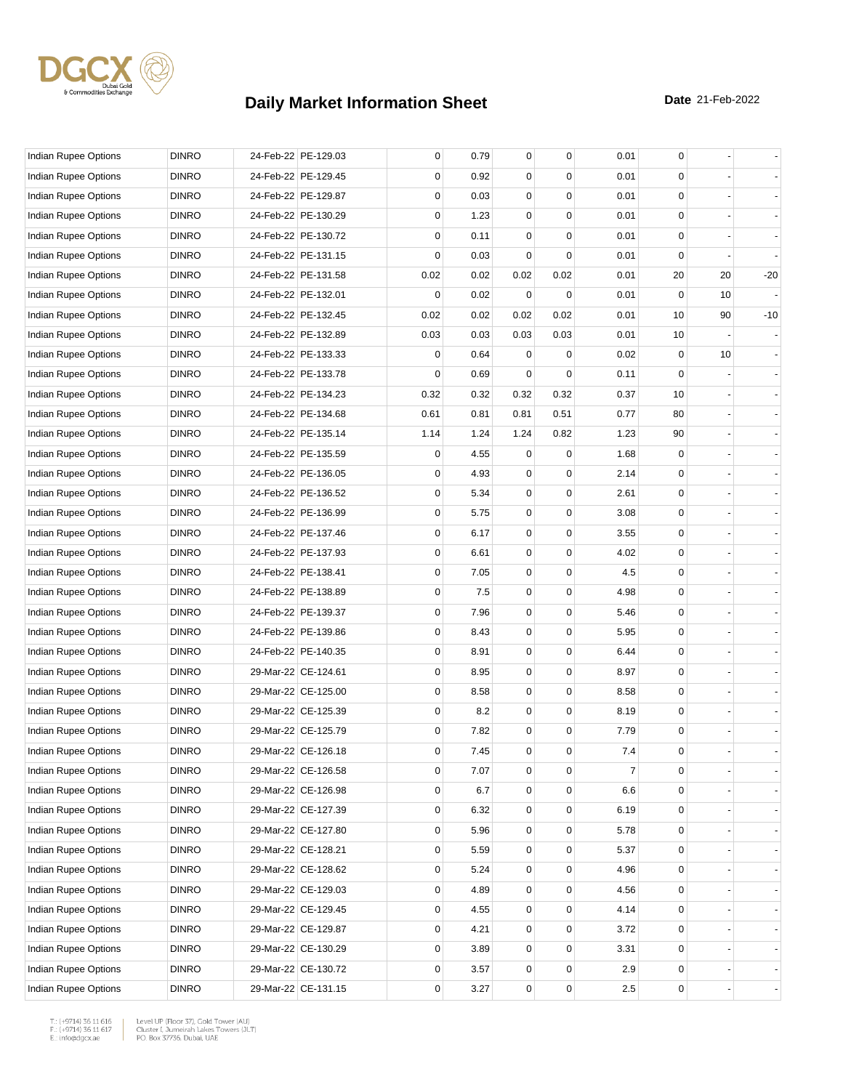

| Indian Rupee Options        | <b>DINRO</b> | 24-Feb-22 PE-129.03 | 0           | 0.79 | $\mathbf{0}$ | 0        | 0.01 | 0            |    |       |
|-----------------------------|--------------|---------------------|-------------|------|--------------|----------|------|--------------|----|-------|
| Indian Rupee Options        | <b>DINRO</b> | 24-Feb-22 PE-129.45 | 0           | 0.92 | 0            | $\Omega$ | 0.01 | 0            |    |       |
| Indian Rupee Options        | <b>DINRO</b> | 24-Feb-22 PE-129.87 | 0           | 0.03 | 0            | 0        | 0.01 | 0            |    |       |
| Indian Rupee Options        | <b>DINRO</b> | 24-Feb-22 PE-130.29 | 0           | 1.23 | 0            | 0        | 0.01 | 0            |    |       |
| Indian Rupee Options        | <b>DINRO</b> | 24-Feb-22 PE-130.72 | 0           | 0.11 | $\mathbf 0$  | 0        | 0.01 | 0            |    |       |
| Indian Rupee Options        | <b>DINRO</b> | 24-Feb-22 PE-131.15 | $\mathbf 0$ | 0.03 | $\Omega$     | 0        | 0.01 | $\mathbf 0$  |    |       |
| Indian Rupee Options        | <b>DINRO</b> | 24-Feb-22 PE-131.58 | 0.02        | 0.02 | 0.02         | 0.02     | 0.01 | 20           | 20 | $-20$ |
| Indian Rupee Options        | <b>DINRO</b> | 24-Feb-22 PE-132.01 | 0           | 0.02 | $\mathbf 0$  | 0        | 0.01 | $\mathbf 0$  | 10 |       |
| Indian Rupee Options        | <b>DINRO</b> | 24-Feb-22 PE-132.45 | 0.02        | 0.02 | 0.02         | 0.02     | 0.01 | 10           | 90 | $-10$ |
| Indian Rupee Options        | <b>DINRO</b> | 24-Feb-22 PE-132.89 | 0.03        | 0.03 | 0.03         | 0.03     | 0.01 | 10           |    |       |
| Indian Rupee Options        | <b>DINRO</b> | 24-Feb-22 PE-133.33 | 0           | 0.64 | $\mathbf 0$  | 0        | 0.02 | $\mathbf 0$  | 10 |       |
| Indian Rupee Options        | <b>DINRO</b> | 24-Feb-22 PE-133.78 | 0           | 0.69 | $\Omega$     | 0        | 0.11 | $\Omega$     |    |       |
| Indian Rupee Options        | <b>DINRO</b> | 24-Feb-22 PE-134.23 | 0.32        | 0.32 | 0.32         | 0.32     | 0.37 | 10           |    |       |
| Indian Rupee Options        | <b>DINRO</b> | 24-Feb-22 PE-134.68 | 0.61        | 0.81 | 0.81         | 0.51     | 0.77 | 80           |    |       |
| Indian Rupee Options        | <b>DINRO</b> | 24-Feb-22 PE-135.14 | 1.14        | 1.24 | 1.24         | 0.82     | 1.23 | 90           |    |       |
| Indian Rupee Options        | <b>DINRO</b> | 24-Feb-22 PE-135.59 | 0           | 4.55 | $\mathbf 0$  | 0        | 1.68 | 0            |    |       |
| <b>Indian Rupee Options</b> | <b>DINRO</b> | 24-Feb-22 PE-136.05 | 0           | 4.93 | 0            | 0        | 2.14 | 0            |    |       |
| Indian Rupee Options        | <b>DINRO</b> | 24-Feb-22 PE-136.52 | 0           | 5.34 | 0            | 0        | 2.61 | $\mathbf 0$  |    |       |
| <b>Indian Rupee Options</b> | <b>DINRO</b> | 24-Feb-22 PE-136.99 | $\mathbf 0$ | 5.75 | 0            | 0        | 3.08 | 0            |    |       |
| Indian Rupee Options        | <b>DINRO</b> | 24-Feb-22 PE-137.46 | $\mathbf 0$ | 6.17 | $\mathbf 0$  | 0        | 3.55 | $\mathbf 0$  |    |       |
| Indian Rupee Options        | <b>DINRO</b> | 24-Feb-22 PE-137.93 | $\mathbf 0$ | 6.61 | $\mathbf 0$  | 0        | 4.02 | $\mathbf 0$  |    |       |
| Indian Rupee Options        | <b>DINRO</b> | 24-Feb-22 PE-138.41 | 0           | 7.05 | 0            | 0        | 4.5  | 0            |    |       |
| Indian Rupee Options        | <b>DINRO</b> | 24-Feb-22 PE-138.89 | 0           | 7.5  | $\mathbf 0$  | 0        | 4.98 | $\mathbf 0$  |    |       |
| Indian Rupee Options        | <b>DINRO</b> | 24-Feb-22 PE-139.37 | $\mathbf 0$ | 7.96 | 0            | 0        | 5.46 | 0            |    |       |
| Indian Rupee Options        | <b>DINRO</b> | 24-Feb-22 PE-139.86 | 0           | 8.43 | $\mathbf 0$  | 0        | 5.95 | $\mathbf 0$  |    |       |
| Indian Rupee Options        | <b>DINRO</b> | 24-Feb-22 PE-140.35 | $\mathbf 0$ | 8.91 | $\mathbf 0$  | 0        | 6.44 | $\mathbf 0$  |    |       |
| Indian Rupee Options        | <b>DINRO</b> | 29-Mar-22 CE-124.61 | 0           | 8.95 | 0            | 0        | 8.97 | 0            |    |       |
| <b>Indian Rupee Options</b> | <b>DINRO</b> | 29-Mar-22 CE-125.00 | 0           | 8.58 | 0            | 0        | 8.58 | $\mathbf 0$  |    |       |
| Indian Rupee Options        | <b>DINRO</b> | 29-Mar-22 CE-125.39 | $\mathbf 0$ | 8.2  | $\mathbf 0$  | 0        | 8.19 | 0            |    |       |
| Indian Rupee Options        | <b>DINRO</b> | 29-Mar-22 CE-125.79 | $\mathbf 0$ | 7.82 | $\mathbf 0$  | 0        | 7.79 | $\mathbf 0$  |    |       |
| Indian Rupee Options        | <b>DINRO</b> | 29-Mar-22 CE-126.18 | 0           | 7.45 | $\mathbf 0$  | 0        | 7.4  | $\mathbf 0$  |    |       |
| Indian Rupee Options        | <b>DINRO</b> | 29-Mar-22 CE-126.58 | 0           | 7.07 | 0            | 0        | 7    | 0            |    |       |
| Indian Rupee Options        | <b>DINRO</b> | 29-Mar-22 CE-126.98 | 0           | 6.7  | 0            | 0        | 6.6  | 0            |    |       |
| <b>Indian Rupee Options</b> | <b>DINRO</b> | 29-Mar-22 CE-127.39 | 0           | 6.32 | 0            | 0        | 6.19 | 0            |    |       |
| Indian Rupee Options        | <b>DINRO</b> | 29-Mar-22 CE-127.80 | 0           | 5.96 | $\mathbf{0}$ | 0        | 5.78 | $\mathbf{0}$ |    |       |
| Indian Rupee Options        | <b>DINRO</b> | 29-Mar-22 CE-128.21 | 0           | 5.59 | $\mathbf 0$  | 0        | 5.37 | 0            |    |       |
| <b>Indian Rupee Options</b> | <b>DINRO</b> | 29-Mar-22 CE-128.62 | 0           | 5.24 | 0            | 0        | 4.96 | 0            |    |       |
| Indian Rupee Options        | <b>DINRO</b> | 29-Mar-22 CE-129.03 | 0           | 4.89 | 0            | 0        | 4.56 | 0            |    |       |
| <b>Indian Rupee Options</b> | <b>DINRO</b> | 29-Mar-22 CE-129.45 | 0           | 4.55 | 0            | 0        | 4.14 | 0            |    |       |
| Indian Rupee Options        | <b>DINRO</b> | 29-Mar-22 CE-129.87 | 0           | 4.21 | $\mathbf 0$  | 0        | 3.72 | 0            |    |       |
| Indian Rupee Options        | <b>DINRO</b> | 29-Mar-22 CE-130.29 | 0           | 3.89 | 0            | 0        | 3.31 | 0            |    |       |
| Indian Rupee Options        | <b>DINRO</b> | 29-Mar-22 CE-130.72 | 0           | 3.57 | 0            | 0        | 2.9  | 0            |    |       |
| Indian Rupee Options        | <b>DINRO</b> | 29-Mar-22 CE-131.15 | 0           | 3.27 | 0            | 0        | 2.5  | 0            |    |       |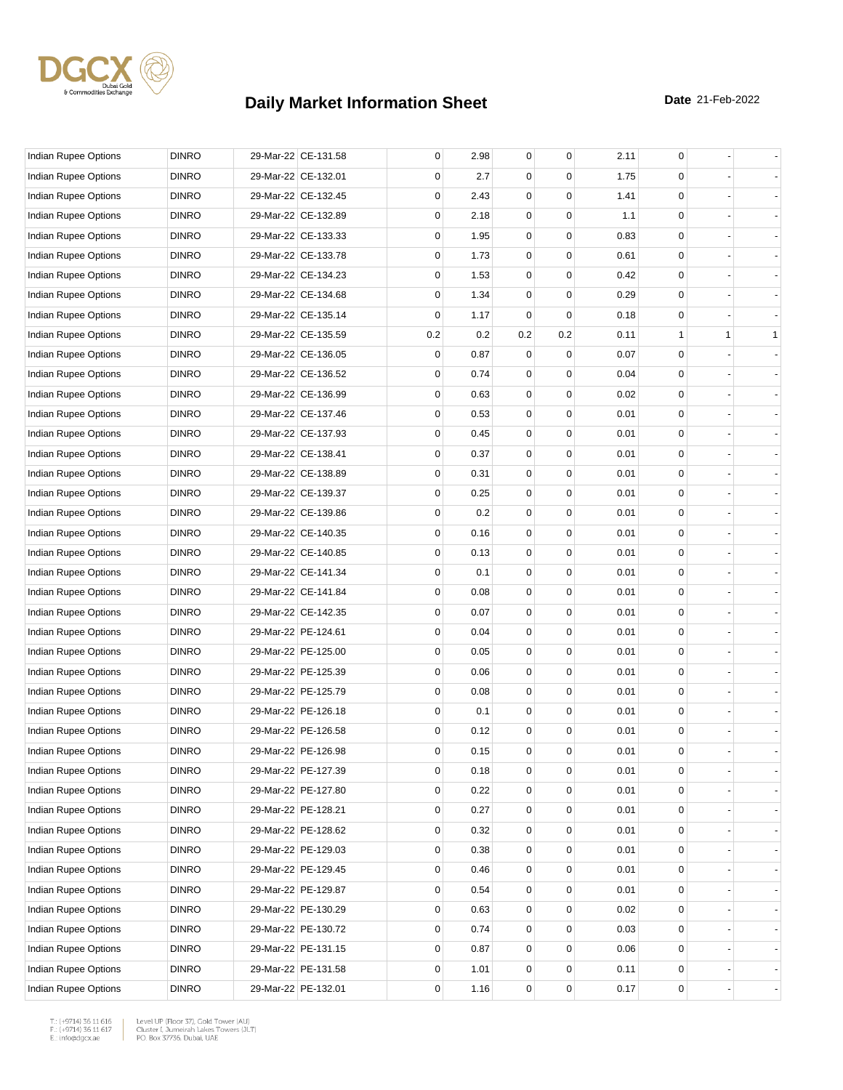

| Indian Rupee Options        | <b>DINRO</b> | 29-Mar-22 CE-131.58 | 0           | 2.98 | $\mathbf 0$ | 0           | 2.11 | 0            |   |              |
|-----------------------------|--------------|---------------------|-------------|------|-------------|-------------|------|--------------|---|--------------|
| Indian Rupee Options        | <b>DINRO</b> | 29-Mar-22 CE-132.01 | 0           | 2.7  | 0           | 0           | 1.75 | 0            |   |              |
| Indian Rupee Options        | <b>DINRO</b> | 29-Mar-22 CE-132.45 | 0           | 2.43 | 0           | $\Omega$    | 1.41 | 0            |   |              |
| Indian Rupee Options        | <b>DINRO</b> | 29-Mar-22 CE-132.89 | 0           | 2.18 | 0           | 0           | 1.1  | 0            |   |              |
| Indian Rupee Options        | <b>DINRO</b> | 29-Mar-22 CE-133.33 | 0           | 1.95 | 0           | 0           | 0.83 | 0            |   |              |
| Indian Rupee Options        | <b>DINRO</b> | 29-Mar-22 CE-133.78 | 0           | 1.73 | $\mathbf 0$ | $\mathbf 0$ | 0.61 | 0            |   |              |
| Indian Rupee Options        | <b>DINRO</b> | 29-Mar-22 CE-134.23 | 0           | 1.53 | 0           | $\Omega$    | 0.42 | 0            |   |              |
| Indian Rupee Options        | <b>DINRO</b> | 29-Mar-22 CE-134.68 | 0           | 1.34 | 0           | $\Omega$    | 0.29 | 0            |   |              |
| <b>Indian Rupee Options</b> | <b>DINRO</b> | 29-Mar-22 CE-135.14 | 0           | 1.17 | 0           | $\Omega$    | 0.18 | 0            |   |              |
| Indian Rupee Options        | <b>DINRO</b> | 29-Mar-22 CE-135.59 | 0.2         | 0.2  | 0.2         | 0.2         | 0.11 | $\mathbf{1}$ | 1 | $\mathbf{1}$ |
| Indian Rupee Options        | <b>DINRO</b> | 29-Mar-22 CE-136.05 | 0           | 0.87 | 0           | 0           | 0.07 | $\mathbf 0$  |   |              |
| Indian Rupee Options        | <b>DINRO</b> | 29-Mar-22 CE-136.52 | 0           | 0.74 | 0           | $\Omega$    | 0.04 | 0            |   |              |
| Indian Rupee Options        | <b>DINRO</b> | 29-Mar-22 CE-136.99 | 0           | 0.63 | 0           | $\Omega$    | 0.02 | 0            |   |              |
| Indian Rupee Options        | <b>DINRO</b> | 29-Mar-22 CE-137.46 | 0           | 0.53 | 0           | 0           | 0.01 | 0            |   |              |
| Indian Rupee Options        | <b>DINRO</b> | 29-Mar-22 CE-137.93 | $\mathbf 0$ | 0.45 | 0           | 0           | 0.01 | 0            |   |              |
| Indian Rupee Options        | <b>DINRO</b> | 29-Mar-22 CE-138.41 | 0           | 0.37 | $\mathbf 0$ | $\mathbf 0$ | 0.01 | 0            |   |              |
| Indian Rupee Options        | <b>DINRO</b> | 29-Mar-22 CE-138.89 | 0           | 0.31 | 0           | $\Omega$    | 0.01 | 0            |   |              |
| Indian Rupee Options        | <b>DINRO</b> | 29-Mar-22 CE-139.37 | 0           | 0.25 | 0           | $\Omega$    | 0.01 | 0            |   |              |
| <b>Indian Rupee Options</b> | <b>DINRO</b> | 29-Mar-22 CE-139.86 | 0           | 0.2  | 0           | 0           | 0.01 | 0            |   |              |
| Indian Rupee Options        | <b>DINRO</b> | 29-Mar-22 CE-140.35 | $\mathbf 0$ | 0.16 | 0           | 0           | 0.01 | 0            |   |              |
| Indian Rupee Options        | <b>DINRO</b> | 29-Mar-22 CE-140.85 | 0           | 0.13 | $\mathbf 0$ | $\mathbf 0$ | 0.01 | 0            |   |              |
| Indian Rupee Options        | <b>DINRO</b> | 29-Mar-22 CE-141.34 | 0           | 0.1  | 0           | $\Omega$    | 0.01 | 0            |   |              |
| Indian Rupee Options        | <b>DINRO</b> | 29-Mar-22 CE-141.84 | 0           | 0.08 | 0           | $\Omega$    | 0.01 | 0            |   |              |
| Indian Rupee Options        | <b>DINRO</b> | 29-Mar-22 CE-142.35 | 0           | 0.07 | 0           | 0           | 0.01 | 0            |   |              |
| Indian Rupee Options        | <b>DINRO</b> | 29-Mar-22 PE-124.61 | 0           | 0.04 | 0           | 0           | 0.01 | 0            |   |              |
| Indian Rupee Options        | <b>DINRO</b> | 29-Mar-22 PE-125.00 | 0           | 0.05 | $\mathbf 0$ | $\mathbf 0$ | 0.01 | 0            |   |              |
| Indian Rupee Options        | <b>DINRO</b> | 29-Mar-22 PE-125.39 | 0           | 0.06 | 0           | $\Omega$    | 0.01 | 0            |   |              |
| Indian Rupee Options        | <b>DINRO</b> | 29-Mar-22 PE-125.79 | 0           | 0.08 | 0           | $\Omega$    | 0.01 | 0            |   |              |
| Indian Rupee Options        | <b>DINRO</b> | 29-Mar-22 PE-126.18 | 0           | 0.1  | 0           | 0           | 0.01 | 0            |   |              |
| Indian Rupee Options        | <b>DINRO</b> | 29-Mar-22 PE-126.58 | 0           | 0.12 | 0           | 0           | 0.01 | 0            |   |              |
| Indian Rupee Options        | <b>DINRO</b> | 29-Mar-22 PE-126.98 | 0           | 0.15 | $\mathbf 0$ | $\mathbf 0$ | 0.01 | 0            |   |              |
| Indian Rupee Options        | <b>DINRO</b> | 29-Mar-22 PE-127.39 | 0           | 0.18 | 0           | 0           | 0.01 | 0            |   |              |
| Indian Rupee Options        | <b>DINRO</b> | 29-Mar-22 PE-127.80 | 0           | 0.22 | 0           | 0           | 0.01 | 0            |   |              |
| Indian Rupee Options        | <b>DINRO</b> | 29-Mar-22 PE-128.21 | 0           | 0.27 | 0           | 0           | 0.01 | 0            |   |              |
| Indian Rupee Options        | <b>DINRO</b> | 29-Mar-22 PE-128.62 | 0           | 0.32 | 0           | $\mathbf 0$ | 0.01 | $\mathsf 0$  |   |              |
| Indian Rupee Options        | <b>DINRO</b> | 29-Mar-22 PE-129.03 | 0           | 0.38 | 0           | $\mathbf 0$ | 0.01 | 0            |   |              |
| Indian Rupee Options        | <b>DINRO</b> | 29-Mar-22 PE-129.45 | 0           | 0.46 | 0           | 0           | 0.01 | 0            |   |              |
| Indian Rupee Options        | <b>DINRO</b> | 29-Mar-22 PE-129.87 | 0           | 0.54 | 0           | 0           | 0.01 | 0            |   |              |
| <b>Indian Rupee Options</b> | <b>DINRO</b> | 29-Mar-22 PE-130.29 | 0           | 0.63 | 0           | 0           | 0.02 | 0            |   |              |
| Indian Rupee Options        | <b>DINRO</b> | 29-Mar-22 PE-130.72 | 0           | 0.74 | 0           | $\mathbf 0$ | 0.03 | 0            |   |              |
| Indian Rupee Options        | <b>DINRO</b> | 29-Mar-22 PE-131.15 | 0           | 0.87 | 0           | $\mathbf 0$ | 0.06 | 0            |   |              |
| Indian Rupee Options        | <b>DINRO</b> | 29-Mar-22 PE-131.58 | 0           | 1.01 | 0           | 0           | 0.11 | 0            |   |              |
| Indian Rupee Options        | <b>DINRO</b> | 29-Mar-22 PE-132.01 | 0           | 1.16 | 0           | 0           | 0.17 | 0            |   |              |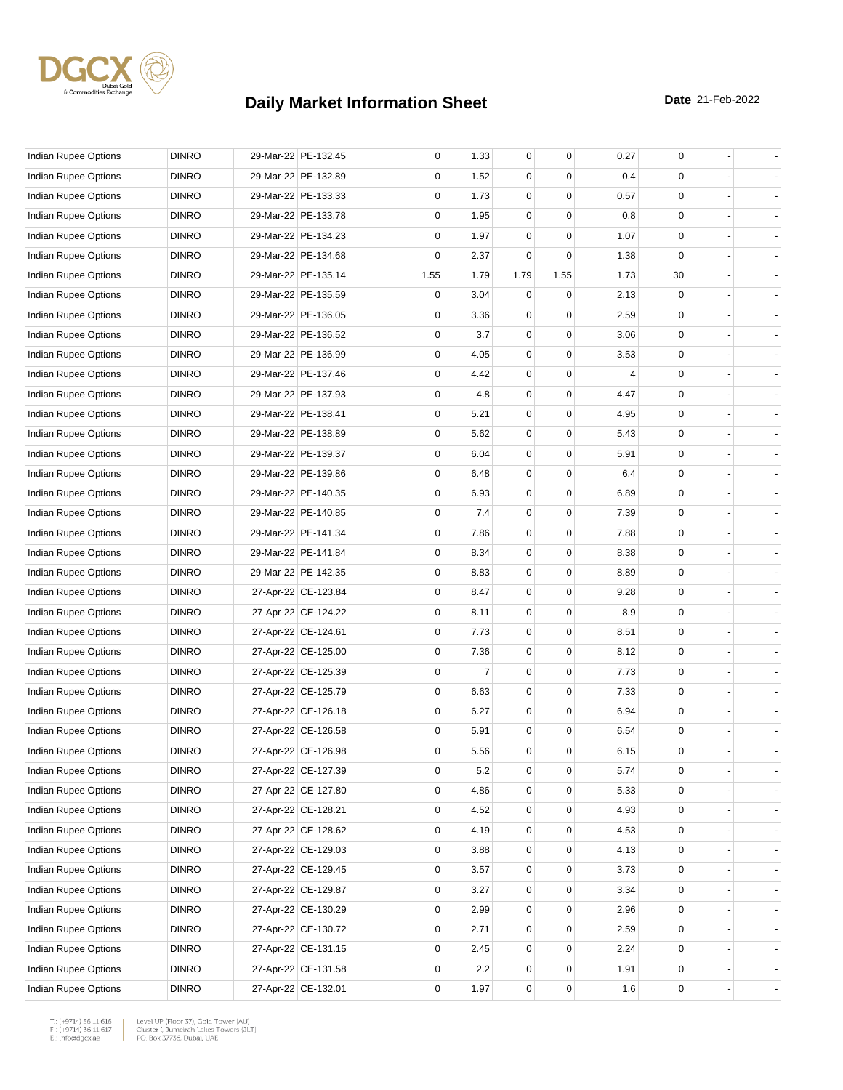

| Indian Rupee Options | <b>DINRO</b> | 29-Mar-22 PE-132.45 | 0    | 1.33    | 0           | 0           | 0.27 | 0           |  |
|----------------------|--------------|---------------------|------|---------|-------------|-------------|------|-------------|--|
| Indian Rupee Options | <b>DINRO</b> | 29-Mar-22 PE-132.89 | 0    | 1.52    | 0           | 0           | 0.4  | $\Omega$    |  |
| Indian Rupee Options | <b>DINRO</b> | 29-Mar-22 PE-133.33 | 0    | 1.73    | 0           | $\mathbf 0$ | 0.57 | 0           |  |
| Indian Rupee Options | <b>DINRO</b> | 29-Mar-22 PE-133.78 | 0    | 1.95    | 0           | $\Omega$    | 0.8  | $\mathbf 0$ |  |
| Indian Rupee Options | <b>DINRO</b> | 29-Mar-22 PE-134.23 | 0    | 1.97    | $\mathbf 0$ | 0           | 1.07 | $\mathbf 0$ |  |
| Indian Rupee Options | <b>DINRO</b> | 29-Mar-22 PE-134.68 | 0    | 2.37    | 0           | 0           | 1.38 | $\mathbf 0$ |  |
| Indian Rupee Options | <b>DINRO</b> | 29-Mar-22 PE-135.14 | 1.55 | 1.79    | 1.79        | 1.55        | 1.73 | 30          |  |
| Indian Rupee Options | <b>DINRO</b> | 29-Mar-22 PE-135.59 | 0    | 3.04    | $\mathbf 0$ | 0           | 2.13 | 0           |  |
| Indian Rupee Options | <b>DINRO</b> | 29-Mar-22 PE-136.05 | 0    | 3.36    | 0           | $\Omega$    | 2.59 | $\mathbf 0$ |  |
| Indian Rupee Options | <b>DINRO</b> | 29-Mar-22 PE-136.52 | 0    | 3.7     | $\mathbf 0$ | 0           | 3.06 | $\mathbf 0$ |  |
| Indian Rupee Options | <b>DINRO</b> | 29-Mar-22 PE-136.99 | 0    | 4.05    | $\mathbf 0$ | 0           | 3.53 | 0           |  |
| Indian Rupee Options | <b>DINRO</b> | 29-Mar-22 PE-137.46 | 0    | 4.42    | 0           | $\Omega$    | 4    | $\Omega$    |  |
| Indian Rupee Options | <b>DINRO</b> | 29-Mar-22 PE-137.93 | 0    | 4.8     | 0           | 0           | 4.47 | 0           |  |
| Indian Rupee Options | <b>DINRO</b> | 29-Mar-22 PE-138.41 | 0    | 5.21    | 0           | $\Omega$    | 4.95 | 0           |  |
| Indian Rupee Options | <b>DINRO</b> | 29-Mar-22 PE-138.89 | 0    | 5.62    | $\mathbf 0$ | 0           | 5.43 | $\mathbf 0$ |  |
| Indian Rupee Options | <b>DINRO</b> | 29-Mar-22 PE-139.37 | 0    | 6.04    | $\mathbf 0$ | 0           | 5.91 | 0           |  |
| Indian Rupee Options | <b>DINRO</b> | 29-Mar-22 PE-139.86 | 0    | 6.48    | 0           | $\Omega$    | 6.4  | 0           |  |
| Indian Rupee Options | <b>DINRO</b> | 29-Mar-22 PE-140.35 | 0    | 6.93    | 0           | 0           | 6.89 | 0           |  |
| Indian Rupee Options | <b>DINRO</b> | 29-Mar-22 PE-140.85 | 0    | 7.4     | 0           | $\Omega$    | 7.39 | $\mathbf 0$ |  |
| Indian Rupee Options | <b>DINRO</b> | 29-Mar-22 PE-141.34 | 0    | 7.86    | $\mathbf 0$ | 0           | 7.88 | $\mathbf 0$ |  |
| Indian Rupee Options | <b>DINRO</b> | 29-Mar-22 PE-141.84 | 0    | 8.34    | $\mathbf 0$ | 0           | 8.38 | 0           |  |
| Indian Rupee Options | <b>DINRO</b> | 29-Mar-22 PE-142.35 | 0    | 8.83    | 0           | $\Omega$    | 8.89 | 0           |  |
| Indian Rupee Options | <b>DINRO</b> | 27-Apr-22 CE-123.84 | 0    | 8.47    | 0           | 0           | 9.28 | 0           |  |
| Indian Rupee Options | <b>DINRO</b> | 27-Apr-22 CE-124.22 | 0    | 8.11    | 0           | $\Omega$    | 8.9  | 0           |  |
| Indian Rupee Options | <b>DINRO</b> | 27-Apr-22 CE-124.61 | 0    | 7.73    | $\mathbf 0$ | 0           | 8.51 | $\mathbf 0$ |  |
| Indian Rupee Options | <b>DINRO</b> | 27-Apr-22 CE-125.00 | 0    | 7.36    | $\mathbf 0$ | 0           | 8.12 | 0           |  |
| Indian Rupee Options | <b>DINRO</b> | 27-Apr-22 CE-125.39 | 0    | 7       | 0           | $\Omega$    | 7.73 | 0           |  |
| Indian Rupee Options | <b>DINRO</b> | 27-Apr-22 CE-125.79 | 0    | 6.63    | 0           | 0           | 7.33 | 0           |  |
| Indian Rupee Options | <b>DINRO</b> | 27-Apr-22 CE-126.18 | 0    | 6.27    | 0           | $\Omega$    | 6.94 | $\mathbf 0$ |  |
| Indian Rupee Options | <b>DINRO</b> | 27-Apr-22 CE-126.58 | 0    | 5.91    | $\mathbf 0$ | 0           | 6.54 | $\mathbf 0$ |  |
| Indian Rupee Options | <b>DINRO</b> | 27-Apr-22 CE-126.98 | 0    | 5.56    | $\mathbf 0$ | 0           | 6.15 | $\mathbf 0$ |  |
| Indian Rupee Options | <b>DINRO</b> | 27-Apr-22 CE-127.39 | 0    | $5.2\,$ | 0           | $\pmb{0}$   | 5.74 | 0           |  |
| Indian Rupee Options | <b>DINRO</b> | 27-Apr-22 CE-127.80 | 0    | 4.86    | 0           | 0           | 5.33 | 0           |  |
| Indian Rupee Options | <b>DINRO</b> | 27-Apr-22 CE-128.21 | 0    | 4.52    | 0           | 0           | 4.93 | 0           |  |
| Indian Rupee Options | <b>DINRO</b> | 27-Apr-22 CE-128.62 | 0    | 4.19    | 0           | 0           | 4.53 | 0           |  |
| Indian Rupee Options | <b>DINRO</b> | 27-Apr-22 CE-129.03 | 0    | 3.88    | 0           | 0           | 4.13 | 0           |  |
| Indian Rupee Options | <b>DINRO</b> | 27-Apr-22 CE-129.45 | 0    | 3.57    | 0           | 0           | 3.73 | 0           |  |
| Indian Rupee Options | <b>DINRO</b> | 27-Apr-22 CE-129.87 | 0    | 3.27    | 0           | 0           | 3.34 | 0           |  |
| Indian Rupee Options | <b>DINRO</b> | 27-Apr-22 CE-130.29 | 0    | 2.99    | 0           | 0           | 2.96 | 0           |  |
| Indian Rupee Options | <b>DINRO</b> | 27-Apr-22 CE-130.72 | 0    | 2.71    | 0           | 0           | 2.59 | 0           |  |
| Indian Rupee Options | <b>DINRO</b> | 27-Apr-22 CE-131.15 | 0    | 2.45    | 0           | 0           | 2.24 | 0           |  |
| Indian Rupee Options | <b>DINRO</b> | 27-Apr-22 CE-131.58 | 0    | 2.2     | 0           | 0           | 1.91 | 0           |  |
| Indian Rupee Options | <b>DINRO</b> | 27-Apr-22 CE-132.01 | 0    | 1.97    | 0           | 0           | 1.6  | 0           |  |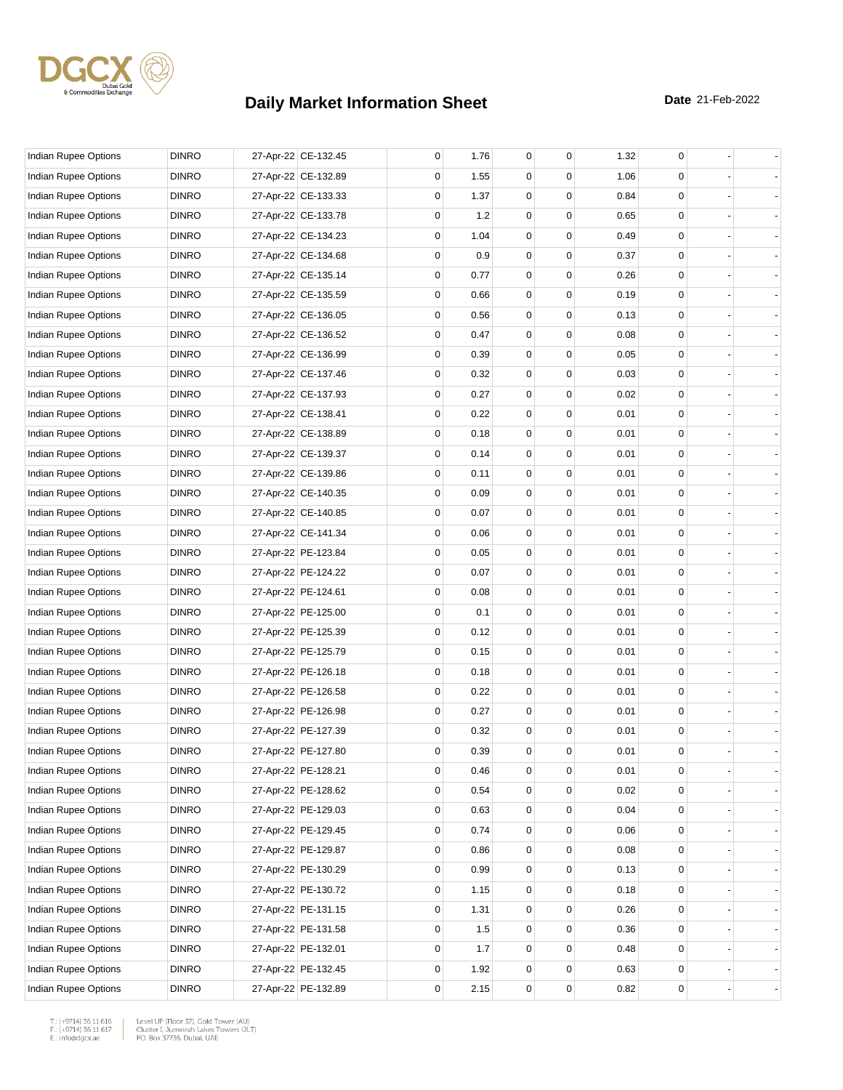

| <b>Indian Rupee Options</b> | <b>DINRO</b> | 27-Apr-22 CE-132.45 | 0 | 1.76 | 0           | 0        | 1.32 | 0                                   |                |
|-----------------------------|--------------|---------------------|---|------|-------------|----------|------|-------------------------------------|----------------|
| Indian Rupee Options        | <b>DINRO</b> | 27-Apr-22 CE-132.89 | 0 | 1.55 | 0           | $\Omega$ | 1.06 | 0                                   |                |
| Indian Rupee Options        | <b>DINRO</b> | 27-Apr-22 CE-133.33 | 0 | 1.37 | $\mathbf 0$ | 0        | 0.84 | 0                                   |                |
| Indian Rupee Options        | <b>DINRO</b> | 27-Apr-22 CE-133.78 | 0 | 1.2  | 0           | 0        | 0.65 | 0                                   |                |
| Indian Rupee Options        | <b>DINRO</b> | 27-Apr-22 CE-134.23 | 0 | 1.04 | 0           | 0        | 0.49 | 0                                   |                |
| Indian Rupee Options        | <b>DINRO</b> | 27-Apr-22 CE-134.68 | 0 | 0.9  | 0           | 0        | 0.37 | 0                                   |                |
| Indian Rupee Options        | <b>DINRO</b> | 27-Apr-22 CE-135.14 | 0 | 0.77 | $\mathbf 0$ | 0        | 0.26 | 0                                   |                |
| <b>Indian Rupee Options</b> | <b>DINRO</b> | 27-Apr-22 CE-135.59 | 0 | 0.66 | $\mathbf 0$ | 0        | 0.19 | 0                                   |                |
| Indian Rupee Options        | <b>DINRO</b> | 27-Apr-22 CE-136.05 | 0 | 0.56 | 0           | 0        | 0.13 | 0                                   |                |
| Indian Rupee Options        | <b>DINRO</b> | 27-Apr-22 CE-136.52 | 0 | 0.47 | 0           | 0        | 0.08 | 0                                   |                |
| Indian Rupee Options        | <b>DINRO</b> | 27-Apr-22 CE-136.99 | 0 | 0.39 | 0           | 0        | 0.05 | 0                                   |                |
| Indian Rupee Options        | <b>DINRO</b> | 27-Apr-22 CE-137.46 | 0 | 0.32 | $\mathbf 0$ | 0        | 0.03 | 0                                   |                |
| Indian Rupee Options        | <b>DINRO</b> | 27-Apr-22 CE-137.93 | 0 | 0.27 | $\mathbf 0$ | 0        | 0.02 | 0                                   |                |
| Indian Rupee Options        | <b>DINRO</b> | 27-Apr-22 CE-138.41 | 0 | 0.22 | 0           | 0        | 0.01 | 0                                   |                |
| Indian Rupee Options        | <b>DINRO</b> | 27-Apr-22 CE-138.89 | 0 | 0.18 | 0           | 0        | 0.01 | 0                                   |                |
| <b>Indian Rupee Options</b> | <b>DINRO</b> | 27-Apr-22 CE-139.37 | 0 | 0.14 | $\mathbf 0$ | 0        | 0.01 | 0                                   |                |
| Indian Rupee Options        | <b>DINRO</b> | 27-Apr-22 CE-139.86 | 0 | 0.11 | $\mathbf 0$ | 0        | 0.01 | 0                                   |                |
| Indian Rupee Options        | <b>DINRO</b> | 27-Apr-22 CE-140.35 | 0 | 0.09 | $\mathbf 0$ | 0        | 0.01 | 0                                   |                |
| Indian Rupee Options        | <b>DINRO</b> | 27-Apr-22 CE-140.85 | 0 | 0.07 | 0           | 0        | 0.01 | 0                                   |                |
| Indian Rupee Options        | <b>DINRO</b> | 27-Apr-22 CE-141.34 | 0 | 0.06 | 0           | 0        | 0.01 | 0                                   |                |
| Indian Rupee Options        | <b>DINRO</b> | 27-Apr-22 PE-123.84 | 0 | 0.05 | $\mathbf 0$ | 0        | 0.01 | 0                                   |                |
| Indian Rupee Options        | <b>DINRO</b> | 27-Apr-22 PE-124.22 | 0 | 0.07 | $\mathbf 0$ | 0        | 0.01 | 0                                   |                |
| Indian Rupee Options        | <b>DINRO</b> | 27-Apr-22 PE-124.61 | 0 | 0.08 | $\mathbf 0$ | 0        | 0.01 | 0                                   |                |
| Indian Rupee Options        | <b>DINRO</b> | 27-Apr-22 PE-125.00 | 0 | 0.1  | 0           | 0        | 0.01 | 0                                   |                |
| Indian Rupee Options        | <b>DINRO</b> | 27-Apr-22 PE-125.39 | 0 | 0.12 | 0           | 0        | 0.01 | 0                                   |                |
| Indian Rupee Options        | <b>DINRO</b> | 27-Apr-22 PE-125.79 | 0 | 0.15 | $\mathbf 0$ | 0        | 0.01 | 0                                   |                |
| Indian Rupee Options        | <b>DINRO</b> | 27-Apr-22 PE-126.18 | 0 | 0.18 | $\mathbf 0$ | 0        | 0.01 | 0                                   |                |
| <b>Indian Rupee Options</b> | <b>DINRO</b> | 27-Apr-22 PE-126.58 | 0 | 0.22 | $\mathbf 0$ | 0        | 0.01 | 0                                   |                |
| Indian Rupee Options        | <b>DINRO</b> | 27-Apr-22 PE-126.98 | 0 | 0.27 | 0           | 0        | 0.01 | 0                                   |                |
| Indian Rupee Options        | <b>DINRO</b> | 27-Apr-22 PE-127.39 | 0 | 0.32 | 0           | 0        | 0.01 | 0                                   |                |
| Indian Rupee Options        | <b>DINRO</b> | 27-Apr-22 PE-127.80 | 0 | 0.39 | $\mathbf 0$ | 0        | 0.01 | 0                                   |                |
| Indian Rupee Options        | <b>DINRO</b> | 27-Apr-22 PE-128.21 | 0 | 0.46 | $\pmb{0}$   | 0        | 0.01 | 0                                   |                |
| <b>Indian Rupee Options</b> | <b>DINRO</b> | 27-Apr-22 PE-128.62 | 0 | 0.54 | 0           | 0        | 0.02 | 0                                   |                |
| Indian Rupee Options        | <b>DINRO</b> | 27-Apr-22 PE-129.03 | 0 | 0.63 | 0           | 0        | 0.04 | 0                                   |                |
| Indian Rupee Options        | <b>DINRO</b> | 27-Apr-22 PE-129.45 | 0 | 0.74 | 0           | 0        | 0.06 | 0                                   |                |
| Indian Rupee Options        | <b>DINRO</b> | 27-Apr-22 PE-129.87 | 0 | 0.86 | 0           | 0        | 0.08 | 0                                   | $\blacksquare$ |
| Indian Rupee Options        | <b>DINRO</b> | 27-Apr-22 PE-130.29 | 0 | 0.99 | 0           | 0        | 0.13 | 0                                   |                |
| Indian Rupee Options        | <b>DINRO</b> | 27-Apr-22 PE-130.72 | 0 | 1.15 | 0           | 0        | 0.18 | 0                                   |                |
| Indian Rupee Options        | <b>DINRO</b> | 27-Apr-22 PE-131.15 | 0 | 1.31 | 0           | 0        | 0.26 | 0                                   |                |
| Indian Rupee Options        | <b>DINRO</b> | 27-Apr-22 PE-131.58 | 0 | 1.5  | 0           | 0        | 0.36 | 0                                   |                |
| Indian Rupee Options        | <b>DINRO</b> | 27-Apr-22 PE-132.01 | 0 | 1.7  | 0           | 0        | 0.48 | 0                                   | $\blacksquare$ |
| Indian Rupee Options        | <b>DINRO</b> | 27-Apr-22 PE-132.45 | 0 | 1.92 | 0           | 0        | 0.63 | 0                                   |                |
| Indian Rupee Options        | <b>DINRO</b> | 27-Apr-22 PE-132.89 | 0 | 2.15 | $\mathsf 0$ | 0        | 0.82 | $\mathsf{O}\!\!\!\!\phantom{\Big }$ |                |
|                             |              |                     |   |      |             |          |      |                                     |                |